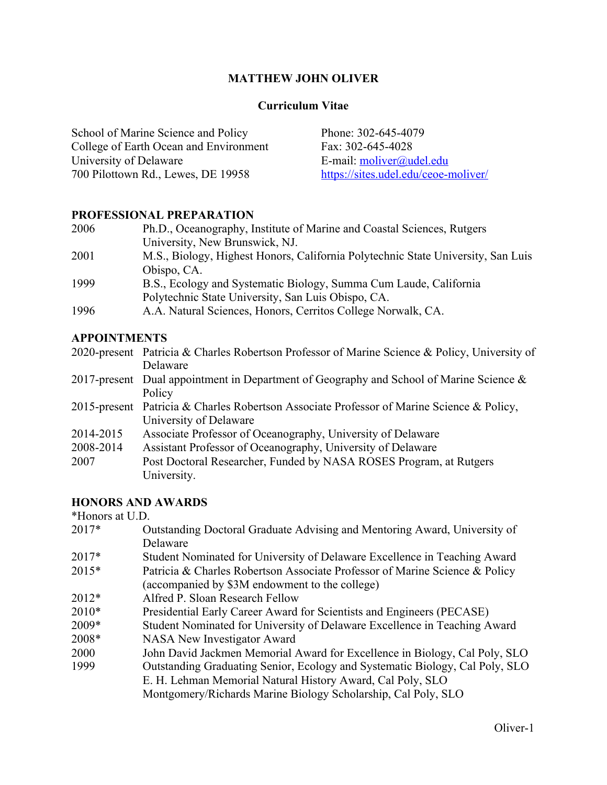# **MATTHEW JOHN OLIVER**

#### **Curriculum Vitae**

School of Marine Science and Policy College of Earth Ocean and Environment University of Delaware 700 Pilottown Rd., Lewes, DE 19958 Phone: 302-645-4079 Fax: 302-645-4028 E-mail: moliver@udel.edu https://sites.udel.edu/ceoe-moliver/

### **PROFESSIONAL PREPARATION**

| 2006 | Ph.D., Oceanography, Institute of Marine and Coastal Sciences, Rutgers           |
|------|----------------------------------------------------------------------------------|
|      | University, New Brunswick, NJ.                                                   |
| 2001 | M.S., Biology, Highest Honors, California Polytechnic State University, San Luis |
|      | Obispo, CA.                                                                      |
| 1999 | B.S., Ecology and Systematic Biology, Summa Cum Laude, California                |
|      | Polytechnic State University, San Luis Obispo, CA.                               |
| 1996 | A.A. Natural Sciences, Honors, Cerritos College Norwalk, CA.                     |

#### **APPOINTMENTS**

2020-present Patricia & Charles Robertson Professor of Marine Science & Policy, University of Delaware 2017-present Dual appointment in Department of Geography and School of Marine Science & Policy 2015-present Patricia & Charles Robertson Associate Professor of Marine Science & Policy, University of Delaware 2014-2015 Associate Professor of Oceanography, University of Delaware 2008-2014 Assistant Professor of Oceanography, University of Delaware 2007 Post Doctoral Researcher, Funded by NASA ROSES Program, at Rutgers University.

### **HONORS AND AWARDS**

\*Honors at U.D.

| 2017*   | Outstanding Doctoral Graduate Advising and Mentoring Award, University of    |
|---------|------------------------------------------------------------------------------|
|         | Delaware                                                                     |
| 2017*   | Student Nominated for University of Delaware Excellence in Teaching Award    |
| $2015*$ | Patricia & Charles Robertson Associate Professor of Marine Science & Policy  |
|         | (accompanied by \$3M endowment to the college)                               |
| $2012*$ | Alfred P. Sloan Research Fellow                                              |
| $2010*$ | Presidential Early Career Award for Scientists and Engineers (PECASE)        |
| 2009*   | Student Nominated for University of Delaware Excellence in Teaching Award    |
| 2008*   | <b>NASA New Investigator Award</b>                                           |
| 2000    | John David Jackmen Memorial Award for Excellence in Biology, Cal Poly, SLO   |
| 1999    | Outstanding Graduating Senior, Ecology and Systematic Biology, Cal Poly, SLO |
|         | E. H. Lehman Memorial Natural History Award, Cal Poly, SLO                   |
|         | Montgomery/Richards Marine Biology Scholarship, Cal Poly, SLO                |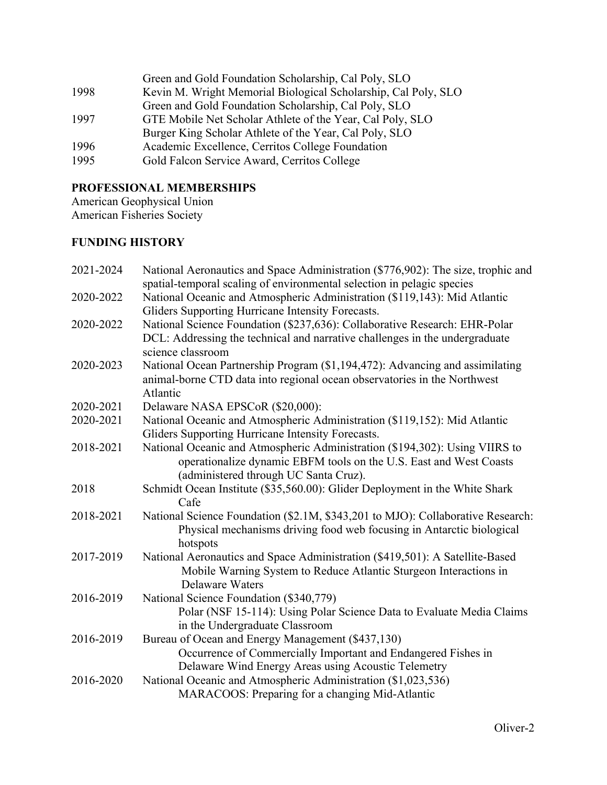|      | Green and Gold Foundation Scholarship, Cal Poly, SLO           |
|------|----------------------------------------------------------------|
| 1998 | Kevin M. Wright Memorial Biological Scholarship, Cal Poly, SLO |
|      | Green and Gold Foundation Scholarship, Cal Poly, SLO           |
| 1997 | GTE Mobile Net Scholar Athlete of the Year, Cal Poly, SLO      |
|      | Burger King Scholar Athlete of the Year, Cal Poly, SLO         |
| 1996 | Academic Excellence, Cerritos College Foundation               |
| 1995 | Gold Falcon Service Award, Cerritos College                    |

# **PROFESSIONAL MEMBERSHIPS**

American Geophysical Union American Fisheries Society

# **FUNDING HISTORY**

| 2021-2024 | National Aeronautics and Space Administration (\$776,902): The size, trophic and<br>spatial-temporal scaling of environmental selection in pelagic species                                 |
|-----------|--------------------------------------------------------------------------------------------------------------------------------------------------------------------------------------------|
| 2020-2022 | National Oceanic and Atmospheric Administration (\$119,143): Mid Atlantic<br>Gliders Supporting Hurricane Intensity Forecasts.                                                             |
| 2020-2022 | National Science Foundation (\$237,636): Collaborative Research: EHR-Polar<br>DCL: Addressing the technical and narrative challenges in the undergraduate<br>science classroom             |
| 2020-2023 | National Ocean Partnership Program (\$1,194,472): Advancing and assimilating<br>animal-borne CTD data into regional ocean observatories in the Northwest<br>Atlantic                       |
| 2020-2021 | Delaware NASA EPSCoR (\$20,000):                                                                                                                                                           |
| 2020-2021 | National Oceanic and Atmospheric Administration (\$119,152): Mid Atlantic<br>Gliders Supporting Hurricane Intensity Forecasts.                                                             |
| 2018-2021 | National Oceanic and Atmospheric Administration (\$194,302): Using VIIRS to<br>operationalize dynamic EBFM tools on the U.S. East and West Coasts<br>(administered through UC Santa Cruz). |
| 2018      | Schmidt Ocean Institute (\$35,560.00): Glider Deployment in the White Shark<br>Cafe                                                                                                        |
| 2018-2021 | National Science Foundation (\$2.1M, \$343,201 to MJO): Collaborative Research:<br>Physical mechanisms driving food web focusing in Antarctic biological<br>hotspots                       |
| 2017-2019 | National Aeronautics and Space Administration (\$419,501): A Satellite-Based<br>Mobile Warning System to Reduce Atlantic Sturgeon Interactions in<br><b>Delaware Waters</b>                |
| 2016-2019 | National Science Foundation (\$340,779)<br>Polar (NSF 15-114): Using Polar Science Data to Evaluate Media Claims<br>in the Undergraduate Classroom                                         |
| 2016-2019 | Bureau of Ocean and Energy Management (\$437,130)<br>Occurrence of Commercially Important and Endangered Fishes in<br>Delaware Wind Energy Areas using Acoustic Telemetry                  |
| 2016-2020 | National Oceanic and Atmospheric Administration (\$1,023,536)<br>MARACOOS: Preparing for a changing Mid-Atlantic                                                                           |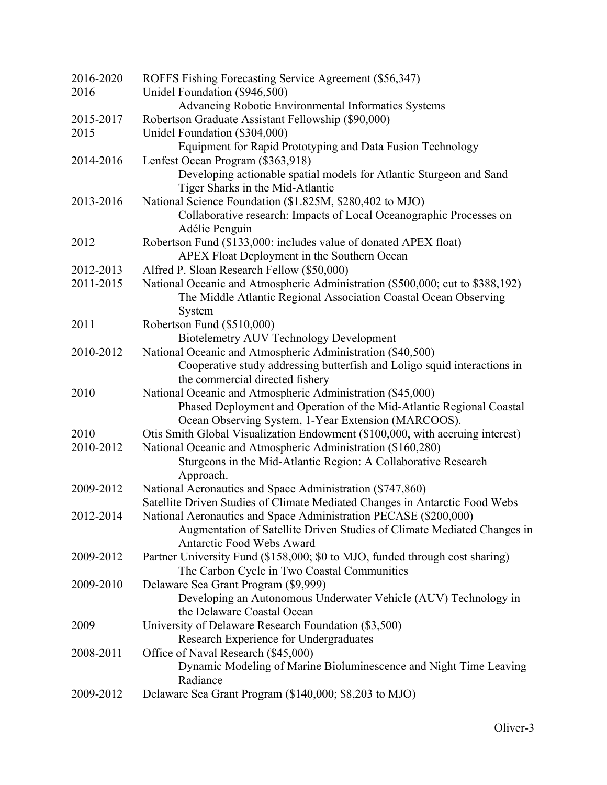| 2016-2020 | ROFFS Fishing Forecasting Service Agreement (\$56,347)                                        |
|-----------|-----------------------------------------------------------------------------------------------|
| 2016      | Unidel Foundation (\$946,500)                                                                 |
|           | Advancing Robotic Environmental Informatics Systems                                           |
| 2015-2017 | Robertson Graduate Assistant Fellowship (\$90,000)                                            |
| 2015      | Unidel Foundation (\$304,000)                                                                 |
|           | Equipment for Rapid Prototyping and Data Fusion Technology                                    |
| 2014-2016 | Lenfest Ocean Program (\$363,918)                                                             |
|           | Developing actionable spatial models for Atlantic Sturgeon and Sand                           |
|           | Tiger Sharks in the Mid-Atlantic                                                              |
| 2013-2016 | National Science Foundation (\$1.825M, \$280,402 to MJO)                                      |
|           | Collaborative research: Impacts of Local Oceanographic Processes on                           |
|           | Adélie Penguin                                                                                |
| 2012      | Robertson Fund (\$133,000: includes value of donated APEX float)                              |
|           | APEX Float Deployment in the Southern Ocean                                                   |
| 2012-2013 | Alfred P. Sloan Research Fellow (\$50,000)                                                    |
| 2011-2015 | National Oceanic and Atmospheric Administration (\$500,000; cut to \$388,192)                 |
|           | The Middle Atlantic Regional Association Coastal Ocean Observing                              |
|           | System                                                                                        |
| 2011      | Robertson Fund (\$510,000)                                                                    |
|           | <b>Biotelemetry AUV Technology Development</b>                                                |
| 2010-2012 | National Oceanic and Atmospheric Administration (\$40,500)                                    |
|           | Cooperative study addressing butterfish and Loligo squid interactions in                      |
|           | the commercial directed fishery                                                               |
| 2010      | National Oceanic and Atmospheric Administration (\$45,000)                                    |
|           | Phased Deployment and Operation of the Mid-Atlantic Regional Coastal                          |
|           | Ocean Observing System, 1-Year Extension (MARCOOS).                                           |
| 2010      | Otis Smith Global Visualization Endowment (\$100,000, with accruing interest)                 |
| 2010-2012 | National Oceanic and Atmospheric Administration (\$160,280)                                   |
|           | Sturgeons in the Mid-Atlantic Region: A Collaborative Research                                |
|           | Approach.                                                                                     |
| 2009-2012 | National Aeronautics and Space Administration (\$747,860)                                     |
|           | Satellite Driven Studies of Climate Mediated Changes in Antarctic Food Webs                   |
| 2012-2014 | National Aeronautics and Space Administration PECASE (\$200,000)                              |
|           | Augmentation of Satellite Driven Studies of Climate Mediated Changes in                       |
|           | <b>Antarctic Food Webs Award</b>                                                              |
| 2009-2012 | Partner University Fund (\$158,000; \$0 to MJO, funded through cost sharing)                  |
|           | The Carbon Cycle in Two Coastal Communities                                                   |
| 2009-2010 | Delaware Sea Grant Program (\$9,999)                                                          |
|           | Developing an Autonomous Underwater Vehicle (AUV) Technology in<br>the Delaware Coastal Ocean |
| 2009      |                                                                                               |
|           | University of Delaware Research Foundation (\$3,500)                                          |
| 2008-2011 | Research Experience for Undergraduates<br>Office of Naval Research (\$45,000)                 |
|           | Dynamic Modeling of Marine Bioluminescence and Night Time Leaving                             |
|           | Radiance                                                                                      |
| 2009-2012 | Delaware Sea Grant Program (\$140,000; \$8,203 to MJO)                                        |
|           |                                                                                               |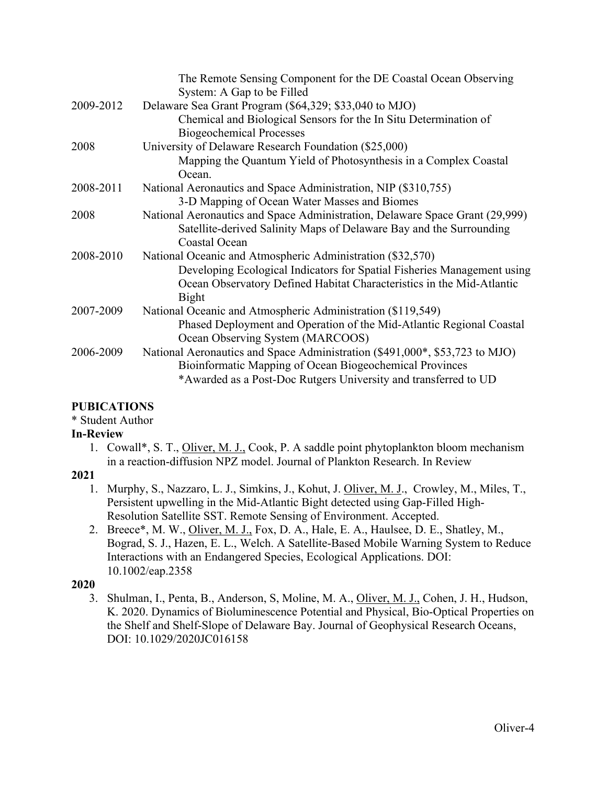|           | The Remote Sensing Component for the DE Coastal Ocean Observing<br>System: A Gap to be Filled       |
|-----------|-----------------------------------------------------------------------------------------------------|
| 2009-2012 | Delaware Sea Grant Program (\$64,329; \$33,040 to MJO)                                              |
|           | Chemical and Biological Sensors for the In Situ Determination of<br><b>Biogeochemical Processes</b> |
| 2008      | University of Delaware Research Foundation (\$25,000)                                               |
|           | Mapping the Quantum Yield of Photosynthesis in a Complex Coastal<br>Ocean.                          |
| 2008-2011 | National Aeronautics and Space Administration, NIP (\$310,755)                                      |
|           | 3-D Mapping of Ocean Water Masses and Biomes                                                        |
| 2008      | National Aeronautics and Space Administration, Delaware Space Grant (29,999)                        |
|           | Satellite-derived Salinity Maps of Delaware Bay and the Surrounding                                 |
|           | Coastal Ocean                                                                                       |
| 2008-2010 | National Oceanic and Atmospheric Administration (\$32,570)                                          |
|           | Developing Ecological Indicators for Spatial Fisheries Management using                             |
|           | Ocean Observatory Defined Habitat Characteristics in the Mid-Atlantic                               |
|           | Bight                                                                                               |
| 2007-2009 | National Oceanic and Atmospheric Administration (\$119,549)                                         |
|           | Phased Deployment and Operation of the Mid-Atlantic Regional Coastal                                |
|           | Ocean Observing System (MARCOOS)                                                                    |
| 2006-2009 | National Aeronautics and Space Administration (\$491,000*, \$53,723 to MJO)                         |
|           | Bioinformatic Mapping of Ocean Biogeochemical Provinces                                             |
|           | *Awarded as a Post-Doc Rutgers University and transferred to UD                                     |

# **PUBICATIONS**

# \* Student Author

# **In-Review**

1. Cowall\*, S. T., Oliver, M. J., Cook, P. A saddle point phytoplankton bloom mechanism in a reaction-diffusion NPZ model. Journal of Plankton Research. In Review

# **2021**

- 1. Murphy, S., Nazzaro, L. J., Simkins, J., Kohut, J. Oliver, M. J., Crowley, M., Miles, T., Persistent upwelling in the Mid-Atlantic Bight detected using Gap-Filled High-Resolution Satellite SST. Remote Sensing of Environment. Accepted.
- 2. Breece\*, M. W., Oliver, M. J., Fox, D. A., Hale, E. A., Haulsee, D. E., Shatley, M., Bograd, S. J., Hazen, E. L., Welch. A Satellite-Based Mobile Warning System to Reduce Interactions with an Endangered Species, Ecological Applications. DOI: 10.1002/eap.2358

# **2020**

3. Shulman, I., Penta, B., Anderson, S, Moline, M. A., Oliver, M. J., Cohen, J. H., Hudson, K. 2020. Dynamics of Bioluminescence Potential and Physical, Bio-Optical Properties on the Shelf and Shelf-Slope of Delaware Bay. Journal of Geophysical Research Oceans, DOI: 10.1029/2020JC016158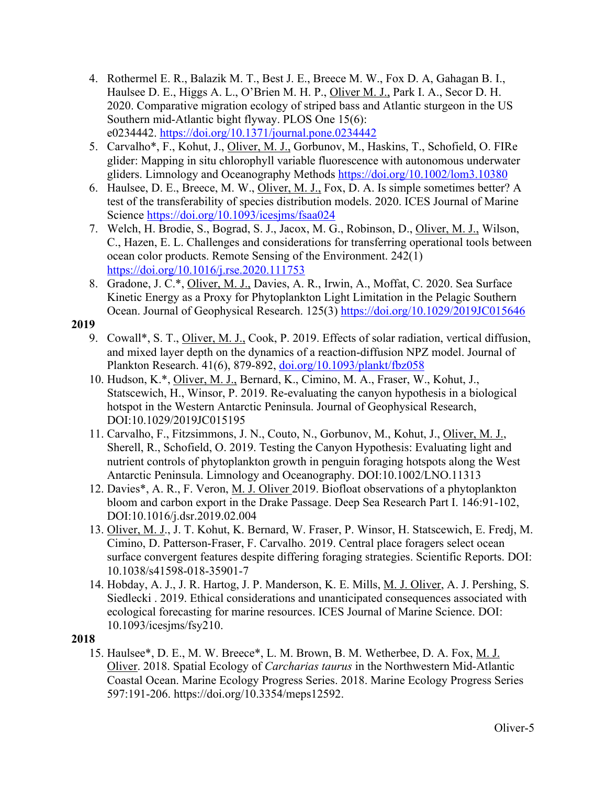- 4. Rothermel E. R., Balazik M. T., Best J. E., Breece M. W., Fox D. A, Gahagan B. I., Haulsee D. E., Higgs A. L., O'Brien M. H. P., Oliver M. J., Park I. A., Secor D. H. 2020. Comparative migration ecology of striped bass and Atlantic sturgeon in the US Southern mid-Atlantic bight flyway. PLOS One 15(6): e0234442. https://doi.org/10.1371/journal.pone.0234442
- 5. Carvalho\*, F., Kohut, J., *Oliver, M. J., Gorbunov, M., Haskins, T., Schofield, O. FIRe* glider: Mapping in situ chlorophyll variable fluorescence with autonomous underwater gliders. Limnology and Oceanography Methods https://doi.org/10.1002/lom3.10380
- 6. Haulsee, D. E., Breece, M. W., Oliver, M. J., Fox, D. A. Is simple sometimes better? A test of the transferability of species distribution models. 2020. ICES Journal of Marine Science https://doi.org/10.1093/icesjms/fsaa024
- 7. Welch, H. Brodie, S., Bograd, S. J., Jacox, M. G., Robinson, D., Oliver, M. J., Wilson, C., Hazen, E. L. Challenges and considerations for transferring operational tools between ocean color products. Remote Sensing of the Environment. 242(1) https://doi.org/10.1016/j.rse.2020.111753
- 8. Gradone, J. C.\*, Oliver, M. J., Davies, A. R., Irwin, A., Moffat, C. 2020. Sea Surface Kinetic Energy as a Proxy for Phytoplankton Light Limitation in the Pelagic Southern Ocean. Journal of Geophysical Research. 125(3) https://doi.org/10.1029/2019JC015646

- 9. Cowall\*, S. T., Oliver, M. J., Cook, P. 2019. Effects of solar radiation, vertical diffusion, and mixed layer depth on the dynamics of a reaction-diffusion NPZ model. Journal of Plankton Research. 41(6), 879-892, doi.org/10.1093/plankt/fbz058
- 10. Hudson, K.\*, Oliver, M. J., Bernard, K., Cimino, M. A., Fraser, W., Kohut, J., Statscewich, H., Winsor, P. 2019. Re-evaluating the canyon hypothesis in a biological hotspot in the Western Antarctic Peninsula. Journal of Geophysical Research, DOI:10.1029/2019JC015195
- 11. Carvalho, F., Fitzsimmons, J. N., Couto, N., Gorbunov, M., Kohut, J., Oliver, M. J., Sherell, R., Schofield, O. 2019. Testing the Canyon Hypothesis: Evaluating light and nutrient controls of phytoplankton growth in penguin foraging hotspots along the West Antarctic Peninsula. Limnology and Oceanography. DOI:10.1002/LNO.11313
- 12. Davies\*, A. R., F. Veron, M. J. Oliver 2019. Biofloat observations of a phytoplankton bloom and carbon export in the Drake Passage. Deep Sea Research Part I. 146:91-102, DOI:10.1016/j.dsr.2019.02.004
- 13. Oliver, M. J., J. T. Kohut, K. Bernard, W. Fraser, P. Winsor, H. Statscewich, E. Fredj, M. Cimino, D. Patterson-Fraser, F. Carvalho. 2019. Central place foragers select ocean surface convergent features despite differing foraging strategies. Scientific Reports. DOI: 10.1038/s41598-018-35901-7
- 14. Hobday, A. J., J. R. Hartog, J. P. Manderson, K. E. Mills, M. J. Oliver, A. J. Pershing, S. Siedlecki . 2019. Ethical considerations and unanticipated consequences associated with ecological forecasting for marine resources. ICES Journal of Marine Science. DOI: 10.1093/icesjms/fsy210.

# **2018**

15. Haulsee\*, D. E., M. W. Breece\*, L. M. Brown, B. M. Wetherbee, D. A. Fox, M. J. Oliver. 2018. Spatial Ecology of *Carcharias taurus* in the Northwestern Mid-Atlantic Coastal Ocean. Marine Ecology Progress Series. 2018. Marine Ecology Progress Series 597:191-206. https://doi.org/10.3354/meps12592.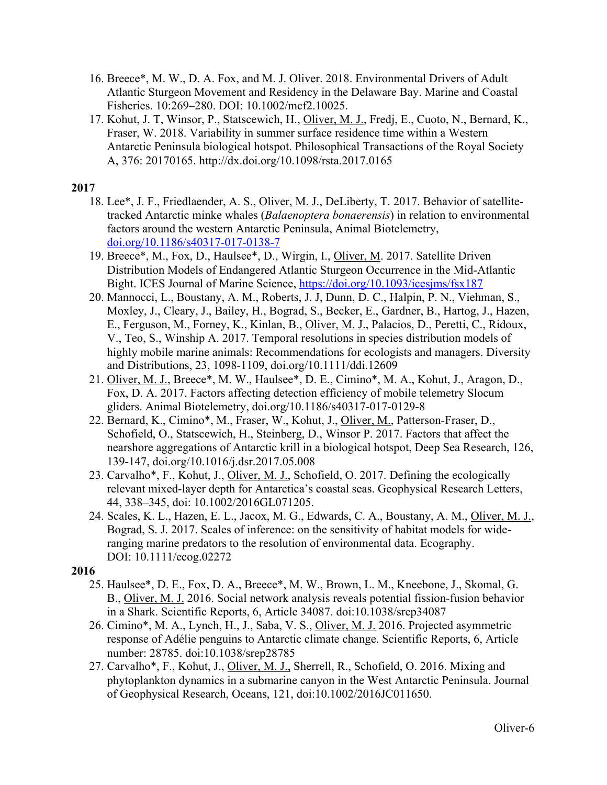- 16. Breece\*, M. W., D. A. Fox, and M. J. Oliver. 2018. Environmental Drivers of Adult Atlantic Sturgeon Movement and Residency in the Delaware Bay. Marine and Coastal Fisheries. 10:269–280. DOI: 10.1002/mcf2.10025.
- 17. Kohut, J. T, Winsor, P., Statscewich, H., Oliver, M. J., Fredj, E., Cuoto, N., Bernard, K., Fraser, W. 2018. Variability in summer surface residence time within a Western Antarctic Peninsula biological hotspot. Philosophical Transactions of the Royal Society A, 376: 20170165. http://dx.doi.org/10.1098/rsta.2017.0165

- 18. Lee\*, J. F., Friedlaender, A. S., Oliver, M. J., DeLiberty, T. 2017. Behavior of satellitetracked Antarctic minke whales (*Balaenoptera bonaerensis*) in relation to environmental factors around the western Antarctic Peninsula, Animal Biotelemetry, doi.org/10.1186/s40317-017-0138-7
- 19. Breece\*, M., Fox, D., Haulsee\*, D., Wirgin, I., Oliver, M. 2017. Satellite Driven Distribution Models of Endangered Atlantic Sturgeon Occurrence in the Mid-Atlantic Bight. ICES Journal of Marine Science, https://doi.org/10.1093/icesjms/fsx187
- 20. Mannocci, L., Boustany, A. M., Roberts, J. J, Dunn, D. C., Halpin, P. N., Viehman, S., Moxley, J., Cleary, J., Bailey, H., Bograd, S., Becker, E., Gardner, B., Hartog, J., Hazen, E., Ferguson, M., Forney, K., Kinlan, B., Oliver, M. J., Palacios, D., Peretti, C., Ridoux, V., Teo, S., Winship A. 2017. Temporal resolutions in species distribution models of highly mobile marine animals: Recommendations for ecologists and managers. Diversity and Distributions, 23, 1098-1109, doi.org/10.1111/ddi.12609
- 21. Oliver, M. J., Breece\*, M. W., Haulsee\*, D. E., Cimino\*, M. A., Kohut, J., Aragon, D., Fox, D. A. 2017. Factors affecting detection efficiency of mobile telemetry Slocum gliders. Animal Biotelemetry, doi.org/10.1186/s40317-017-0129-8
- 22. Bernard, K., Cimino\*, M., Fraser, W., Kohut, J., Oliver, M., Patterson-Fraser, D., Schofield, O., Statscewich, H., Steinberg, D., Winsor P. 2017. Factors that affect the nearshore aggregations of Antarctic krill in a biological hotspot, Deep Sea Research, 126, 139-147, doi.org/10.1016/j.dsr.2017.05.008
- 23. Carvalho\*, F., Kohut, J., Oliver, M. J., Schofield, O. 2017. Defining the ecologically relevant mixed-layer depth for Antarctica's coastal seas. Geophysical Research Letters, 44, 338–345, doi: 10.1002/2016GL071205.
- 24. Scales, K. L., Hazen, E. L., Jacox, M. G., Edwards, C. A., Boustany, A. M., Oliver, M. J., Bograd, S. J. 2017. Scales of inference: on the sensitivity of habitat models for wideranging marine predators to the resolution of environmental data. Ecography. DOI: 10.1111/ecog.02272

- 25. Haulsee\*, D. E., Fox, D. A., Breece\*, M. W., Brown, L. M., Kneebone, J., Skomal, G. B., Oliver, M. J. 2016. Social network analysis reveals potential fission-fusion behavior in a Shark. Scientific Reports, 6, Article 34087. doi:10.1038/srep34087
- 26. Cimino\*, M. A., Lynch, H., J., Saba, V. S., Oliver, M. J. 2016. Projected asymmetric response of Adélie penguins to Antarctic climate change. Scientific Reports, 6, Article number: 28785. doi:10.1038/srep28785
- 27. Carvalho\*, F., Kohut, J., Oliver, M. J., Sherrell, R., Schofield, O. 2016. Mixing and phytoplankton dynamics in a submarine canyon in the West Antarctic Peninsula. Journal of Geophysical Research, Oceans, 121, doi:10.1002/2016JC011650.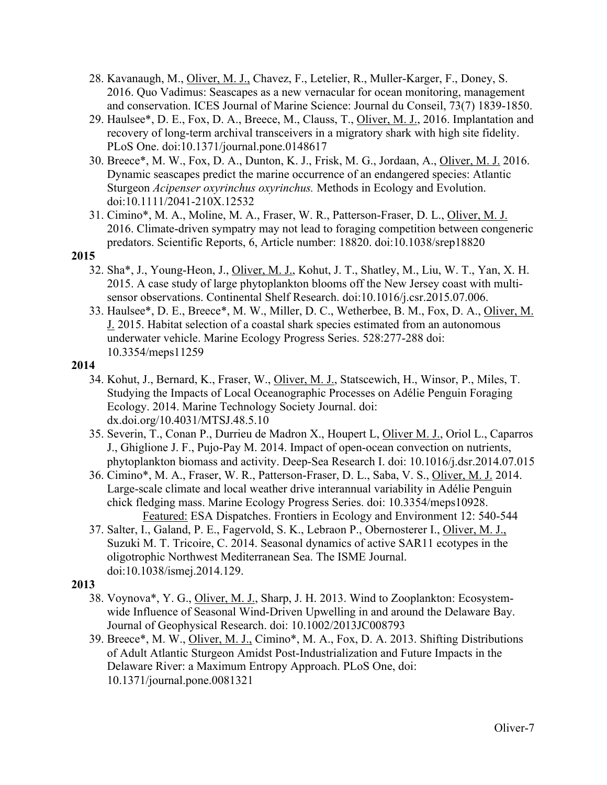- 28. Kavanaugh, M., Oliver, M. J., Chavez, F., Letelier, R., Muller-Karger, F., Doney, S. 2016. Quo Vadimus: Seascapes as a new vernacular for ocean monitoring, management and conservation. ICES Journal of Marine Science: Journal du Conseil, 73(7) 1839-1850.
- 29. Haulsee\*, D. E., Fox, D. A., Breece, M., Clauss, T., Oliver, M. J., 2016. Implantation and recovery of long-term archival transceivers in a migratory shark with high site fidelity. PLoS One. doi:10.1371/journal.pone.0148617
- 30. Breece\*, M. W., Fox, D. A., Dunton, K. J., Frisk, M. G., Jordaan, A., Oliver, M. J. 2016. Dynamic seascapes predict the marine occurrence of an endangered species: Atlantic Sturgeon *Acipenser oxyrinchus oxyrinchus.* Methods in Ecology and Evolution. doi:10.1111/2041-210X.12532
- 31. Cimino\*, M. A., Moline, M. A., Fraser, W. R., Patterson-Fraser, D. L., Oliver, M. J. 2016. Climate-driven sympatry may not lead to foraging competition between congeneric predators. Scientific Reports, 6, Article number: 18820. doi:10.1038/srep18820

- 32. Sha\*, J., Young-Heon, J., Oliver, M. J., Kohut, J. T., Shatley, M., Liu, W. T., Yan, X. H. 2015. A case study of large phytoplankton blooms off the New Jersey coast with multisensor observations. Continental Shelf Research. doi:10.1016/j.csr.2015.07.006.
- 33. Haulsee\*, D. E., Breece\*, M. W., Miller, D. C., Wetherbee, B. M., Fox, D. A., Oliver, M. J. 2015. Habitat selection of a coastal shark species estimated from an autonomous underwater vehicle. Marine Ecology Progress Series. 528:277-288 doi: 10.3354/meps11259

### **2014**

- 34. Kohut, J., Bernard, K., Fraser, W., Oliver, M. J., Statscewich, H., Winsor, P., Miles, T. Studying the Impacts of Local Oceanographic Processes on Adélie Penguin Foraging Ecology. 2014. Marine Technology Society Journal. doi: dx.doi.org/10.4031/MTSJ.48.5.10
- 35. Severin, T., Conan P., Durrieu de Madron X., Houpert L, Oliver M. J., Oriol L., Caparros J., Ghiglione J. F., Pujo-Pay M. 2014. Impact of open-ocean convection on nutrients, phytoplankton biomass and activity. Deep-Sea Research I. doi: 10.1016/j.dsr.2014.07.015
- 36. Cimino\*, M. A., Fraser, W. R., Patterson-Fraser, D. L., Saba, V. S., Oliver, M. J. 2014. Large-scale climate and local weather drive interannual variability in Adélie Penguin chick fledging mass. Marine Ecology Progress Series. doi: 10.3354/meps10928. Featured: ESA Dispatches. Frontiers in Ecology and Environment 12: 540-544
- 37. Salter, I., Galand, P. E., Fagervold, S. K., Lebraon P., Obernosterer I., Oliver, M. J., Suzuki M. T. Tricoire, C. 2014. Seasonal dynamics of active SAR11 ecotypes in the oligotrophic Northwest Mediterranean Sea. The ISME Journal. doi:10.1038/ismej.2014.129.

- 38. Voynova\*, Y. G., Oliver, M. J., Sharp, J. H. 2013. Wind to Zooplankton: Ecosystemwide Influence of Seasonal Wind-Driven Upwelling in and around the Delaware Bay. Journal of Geophysical Research. doi: 10.1002/2013JC008793
- 39. Breece\*, M. W., Oliver, M. J., Cimino\*, M. A., Fox, D. A. 2013. Shifting Distributions of Adult Atlantic Sturgeon Amidst Post-Industrialization and Future Impacts in the Delaware River: a Maximum Entropy Approach. PLoS One, doi: 10.1371/journal.pone.0081321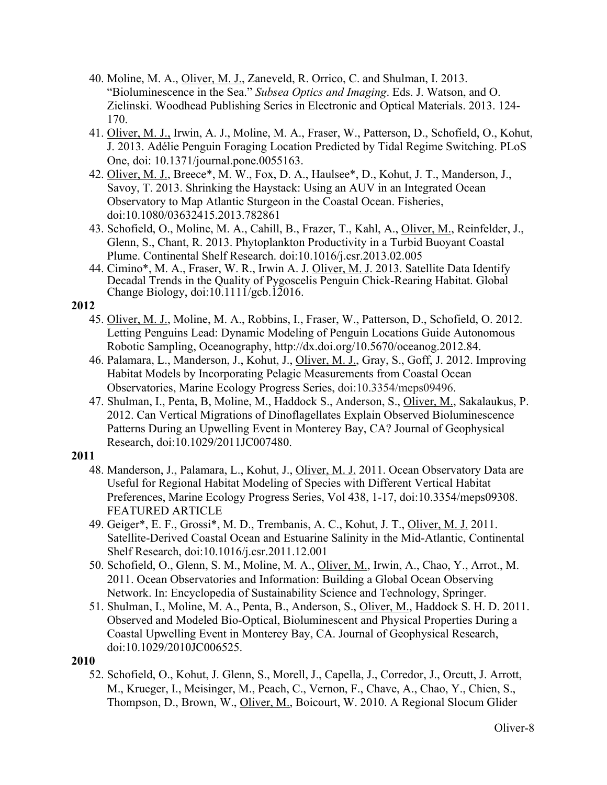- 40. Moline, M. A., Oliver, M. J., Zaneveld, R. Orrico, C. and Shulman, I. 2013. "Bioluminescence in the Sea." *Subsea Optics and Imaging*. Eds. J. Watson, and O. Zielinski. Woodhead Publishing Series in Electronic and Optical Materials. 2013. 124- 170.
- 41. Oliver, M. J., Irwin, A. J., Moline, M. A., Fraser, W., Patterson, D., Schofield, O., Kohut, J. 2013. Adélie Penguin Foraging Location Predicted by Tidal Regime Switching. PLoS One, doi: 10.1371/journal.pone.0055163.
- 42. Oliver, M. J., Breece\*, M. W., Fox, D. A., Haulsee\*, D., Kohut, J. T., Manderson, J., Savoy, T. 2013. Shrinking the Haystack: Using an AUV in an Integrated Ocean Observatory to Map Atlantic Sturgeon in the Coastal Ocean. Fisheries, doi:10.1080/03632415.2013.782861
- 43. Schofield, O., Moline, M. A., Cahill, B., Frazer, T., Kahl, A., Oliver, M., Reinfelder, J., Glenn, S., Chant, R. 2013. Phytoplankton Productivity in a Turbid Buoyant Coastal Plume. Continental Shelf Research. doi:10.1016/j.csr.2013.02.005
- 44. Cimino\*, M. A., Fraser, W. R., Irwin A. J. Oliver, M. J. 2013. Satellite Data Identify Decadal Trends in the Quality of Pygoscelis Penguin Chick-Rearing Habitat. Global Change Biology, doi:10.1111/gcb.12016.

- 45. Oliver, M. J., Moline, M. A., Robbins, I., Fraser, W., Patterson, D., Schofield, O. 2012. Letting Penguins Lead: Dynamic Modeling of Penguin Locations Guide Autonomous Robotic Sampling, Oceanography, http://dx.doi.org/10.5670/oceanog.2012.84.
- 46. Palamara, L., Manderson, J., Kohut, J., Oliver, M. J., Gray, S., Goff, J. 2012. Improving Habitat Models by Incorporating Pelagic Measurements from Coastal Ocean Observatories, Marine Ecology Progress Series, doi:10.3354/meps09496.
- 47. Shulman, I., Penta, B, Moline, M., Haddock S., Anderson, S., Oliver, M., Sakalaukus, P. 2012. Can Vertical Migrations of Dinoflagellates Explain Observed Bioluminescence Patterns During an Upwelling Event in Monterey Bay, CA? Journal of Geophysical Research, doi:10.1029/2011JC007480.

# **2011**

- 48. Manderson, J., Palamara, L., Kohut, J., Oliver, M. J. 2011. Ocean Observatory Data are Useful for Regional Habitat Modeling of Species with Different Vertical Habitat Preferences, Marine Ecology Progress Series, Vol 438, 1-17, doi:10.3354/meps09308. FEATURED ARTICLE
- 49. Geiger\*, E. F., Grossi\*, M. D., Trembanis, A. C., Kohut, J. T., Oliver, M. J. 2011. Satellite-Derived Coastal Ocean and Estuarine Salinity in the Mid-Atlantic, Continental Shelf Research, doi:10.1016/j.csr.2011.12.001
- 50. Schofield, O., Glenn, S. M., Moline, M. A., Oliver, M., Irwin, A., Chao, Y., Arrot., M. 2011. Ocean Observatories and Information: Building a Global Ocean Observing Network. In: Encyclopedia of Sustainability Science and Technology, Springer.
- 51. Shulman, I., Moline, M. A., Penta, B., Anderson, S., Oliver, M., Haddock S. H. D. 2011. Observed and Modeled Bio-Optical, Bioluminescent and Physical Properties During a Coastal Upwelling Event in Monterey Bay, CA. Journal of Geophysical Research, doi:10.1029/2010JC006525.

# **2010**

52. Schofield, O., Kohut, J. Glenn, S., Morell, J., Capella, J., Corredor, J., Orcutt, J. Arrott, M., Krueger, I., Meisinger, M., Peach, C., Vernon, F., Chave, A., Chao, Y., Chien, S., Thompson, D., Brown, W., Oliver, M., Boicourt, W. 2010. A Regional Slocum Glider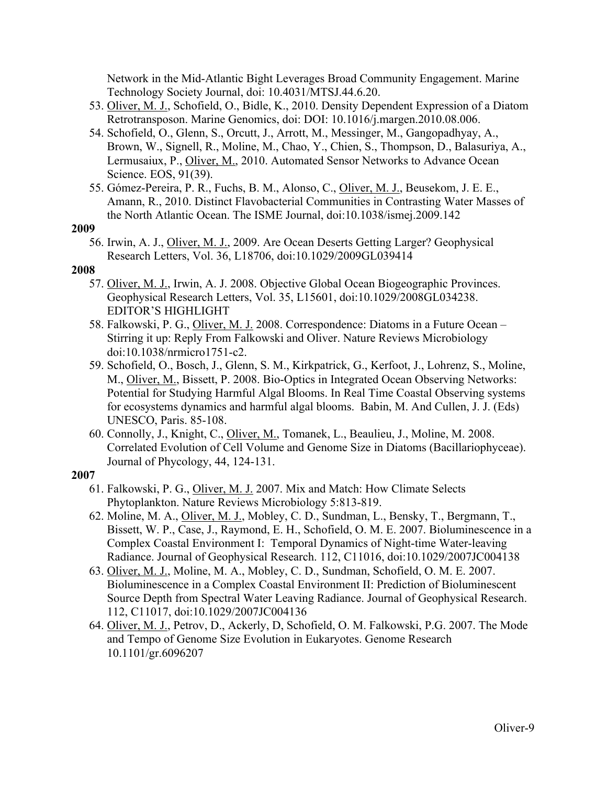Network in the Mid-Atlantic Bight Leverages Broad Community Engagement. Marine Technology Society Journal, doi: 10.4031/MTSJ.44.6.20.

- 53. Oliver, M. J., Schofield, O., Bidle, K., 2010. Density Dependent Expression of a Diatom Retrotransposon. Marine Genomics, doi: DOI: 10.1016/j.margen.2010.08.006.
- 54. Schofield, O., Glenn, S., Orcutt, J., Arrott, M., Messinger, M., Gangopadhyay, A., Brown, W., Signell, R., Moline, M., Chao, Y., Chien, S., Thompson, D., Balasuriya, A., Lermusaiux, P., Oliver, M., 2010. Automated Sensor Networks to Advance Ocean Science. EOS, 91(39).
- 55. Gómez-Pereira, P. R., Fuchs, B. M., Alonso, C., Oliver, M. J., Beusekom, J. E. E., Amann, R., 2010. Distinct Flavobacterial Communities in Contrasting Water Masses of the North Atlantic Ocean. The ISME Journal, doi:10.1038/ismej.2009.142

### **2009**

56. Irwin, A. J., Oliver, M. J., 2009. Are Ocean Deserts Getting Larger? Geophysical Research Letters, Vol. 36, L18706, doi:10.1029/2009GL039414

### **2008**

- 57. Oliver, M. J., Irwin, A. J. 2008. Objective Global Ocean Biogeographic Provinces. Geophysical Research Letters, Vol. 35, L15601, doi:10.1029/2008GL034238. EDITOR'S HIGHLIGHT
- 58. Falkowski, P. G., Oliver, M. J. 2008. Correspondence: Diatoms in a Future Ocean -Stirring it up: Reply From Falkowski and Oliver. Nature Reviews Microbiology doi:10.1038/nrmicro1751-c2.
- 59. Schofield, O., Bosch, J., Glenn, S. M., Kirkpatrick, G., Kerfoot, J., Lohrenz, S., Moline, M., Oliver, M., Bissett, P. 2008. Bio-Optics in Integrated Ocean Observing Networks: Potential for Studying Harmful Algal Blooms. In Real Time Coastal Observing systems for ecosystems dynamics and harmful algal blooms. Babin, M. And Cullen, J. J. (Eds) UNESCO, Paris. 85-108.
- 60. Connolly, J., Knight, C., Oliver, M., Tomanek, L., Beaulieu, J., Moline, M. 2008. Correlated Evolution of Cell Volume and Genome Size in Diatoms (Bacillariophyceae). Journal of Phycology, 44, 124-131.

- 61. Falkowski, P. G., Oliver, M. J. 2007. Mix and Match: How Climate Selects Phytoplankton. Nature Reviews Microbiology 5:813-819.
- 62. Moline, M. A., Oliver, M. J., Mobley, C. D., Sundman, L., Bensky, T., Bergmann, T., Bissett, W. P., Case, J., Raymond, E. H., Schofield, O. M. E. 2007. Bioluminescence in a Complex Coastal Environment I: Temporal Dynamics of Night-time Water-leaving Radiance. Journal of Geophysical Research. 112, C11016, doi:10.1029/2007JC004138
- 63. Oliver, M. J., Moline, M. A., Mobley, C. D., Sundman, Schofield, O. M. E. 2007. Bioluminescence in a Complex Coastal Environment II: Prediction of Bioluminescent Source Depth from Spectral Water Leaving Radiance. Journal of Geophysical Research. 112, C11017, doi:10.1029/2007JC004136
- 64. Oliver, M. J., Petrov, D., Ackerly, D, Schofield, O. M. Falkowski, P.G. 2007. The Mode and Tempo of Genome Size Evolution in Eukaryotes. Genome Research 10.1101/gr.6096207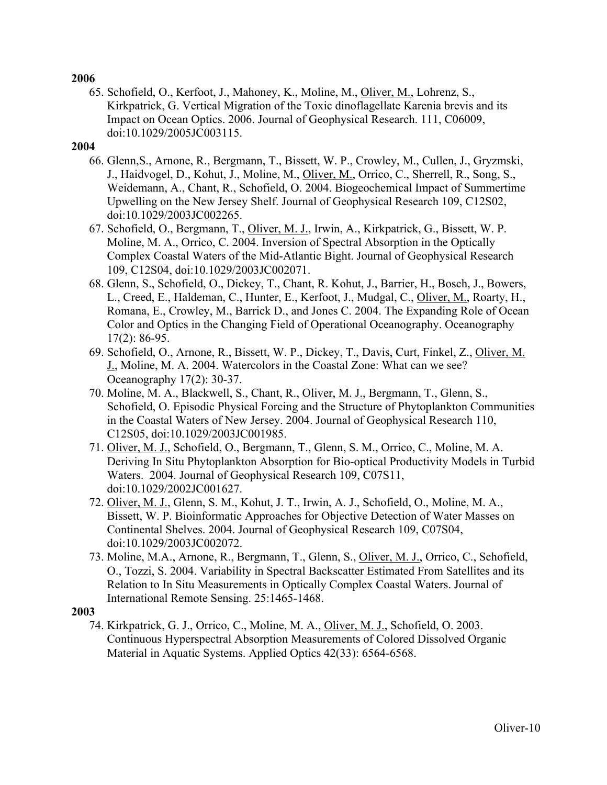65. Schofield, O., Kerfoot, J., Mahoney, K., Moline, M., Oliver, M., Lohrenz, S., Kirkpatrick, G. Vertical Migration of the Toxic dinoflagellate Karenia brevis and its Impact on Ocean Optics. 2006. Journal of Geophysical Research. 111, C06009, doi:10.1029/2005JC003115.

### **2004**

- 66. Glenn,S., Arnone, R., Bergmann, T., Bissett, W. P., Crowley, M., Cullen, J., Gryzmski, J., Haidvogel, D., Kohut, J., Moline, M., Oliver, M., Orrico, C., Sherrell, R., Song, S., Weidemann, A., Chant, R., Schofield, O. 2004. Biogeochemical Impact of Summertime Upwelling on the New Jersey Shelf. Journal of Geophysical Research 109, C12S02, doi:10.1029/2003JC002265.
- 67. Schofield, O., Bergmann, T., Oliver, M. J., Irwin, A., Kirkpatrick, G., Bissett, W. P. Moline, M. A., Orrico, C. 2004. Inversion of Spectral Absorption in the Optically Complex Coastal Waters of the Mid-Atlantic Bight. Journal of Geophysical Research 109, C12S04, doi:10.1029/2003JC002071.
- 68. Glenn, S., Schofield, O., Dickey, T., Chant, R. Kohut, J., Barrier, H., Bosch, J., Bowers, L., Creed, E., Haldeman, C., Hunter, E., Kerfoot, J., Mudgal, C., Oliver, M., Roarty, H., Romana, E., Crowley, M., Barrick D., and Jones C. 2004. The Expanding Role of Ocean Color and Optics in the Changing Field of Operational Oceanography. Oceanography 17(2): 86-95.
- 69. Schofield, O., Arnone, R., Bissett, W. P., Dickey, T., Davis, Curt, Finkel, Z., Oliver, M. J., Moline, M. A. 2004. Watercolors in the Coastal Zone: What can we see? Oceanography 17(2): 30-37.
- 70. Moline, M. A., Blackwell, S., Chant, R., Oliver, M. J., Bergmann, T., Glenn, S., Schofield, O. Episodic Physical Forcing and the Structure of Phytoplankton Communities in the Coastal Waters of New Jersey. 2004. Journal of Geophysical Research 110, C12S05, doi:10.1029/2003JC001985.
- 71. Oliver, M. J., Schofield, O., Bergmann, T., Glenn, S. M., Orrico, C., Moline, M. A. Deriving In Situ Phytoplankton Absorption for Bio-optical Productivity Models in Turbid Waters. 2004. Journal of Geophysical Research 109, C07S11, doi:10.1029/2002JC001627.
- 72. Oliver, M. J., Glenn, S. M., Kohut, J. T., Irwin, A. J., Schofield, O., Moline, M. A., Bissett, W. P. Bioinformatic Approaches for Objective Detection of Water Masses on Continental Shelves. 2004. Journal of Geophysical Research 109, C07S04, doi:10.1029/2003JC002072.
- 73. Moline, M.A., Arnone, R., Bergmann, T., Glenn, S., Oliver, M. J., Orrico, C., Schofield, O., Tozzi, S. 2004. Variability in Spectral Backscatter Estimated From Satellites and its Relation to In Situ Measurements in Optically Complex Coastal Waters. Journal of International Remote Sensing. 25:1465-1468.

### **2003**

74. Kirkpatrick, G. J., Orrico, C., Moline, M. A., Oliver, M. J., Schofield, O. 2003. Continuous Hyperspectral Absorption Measurements of Colored Dissolved Organic Material in Aquatic Systems. Applied Optics 42(33): 6564-6568.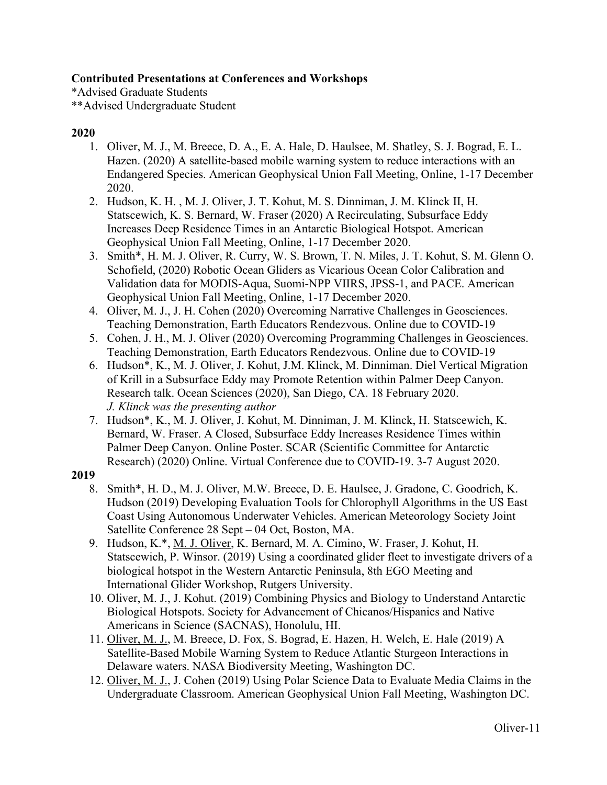# **Contributed Presentations at Conferences and Workshops**

\*Advised Graduate Students \*\*Advised Undergraduate Student

# **2020**

- 1. Oliver, M. J., M. Breece, D. A., E. A. Hale, D. Haulsee, M. Shatley, S. J. Bograd, E. L. Hazen. (2020) A satellite-based mobile warning system to reduce interactions with an Endangered Species. American Geophysical Union Fall Meeting, Online, 1-17 December 2020.
- 2. Hudson, K. H. , M. J. Oliver, J. T. Kohut, M. S. Dinniman, J. M. Klinck II, H. Statscewich, K. S. Bernard, W. Fraser (2020) A Recirculating, Subsurface Eddy Increases Deep Residence Times in an Antarctic Biological Hotspot. American Geophysical Union Fall Meeting, Online, 1-17 December 2020.
- 3. Smith\*, H. M. J. Oliver, R. Curry, W. S. Brown, T. N. Miles, J. T. Kohut, S. M. Glenn O. Schofield, (2020) Robotic Ocean Gliders as Vicarious Ocean Color Calibration and Validation data for MODIS-Aqua, Suomi-NPP VIIRS, JPSS-1, and PACE. American Geophysical Union Fall Meeting, Online, 1-17 December 2020.
- 4. Oliver, M. J., J. H. Cohen (2020) Overcoming Narrative Challenges in Geosciences. Teaching Demonstration, Earth Educators Rendezvous. Online due to COVID-19
- 5. Cohen, J. H., M. J. Oliver (2020) Overcoming Programming Challenges in Geosciences. Teaching Demonstration, Earth Educators Rendezvous. Online due to COVID-19
- 6. Hudson\*, K., M. J. Oliver, J. Kohut, J.M. Klinck, M. Dinniman. Diel Vertical Migration of Krill in a Subsurface Eddy may Promote Retention within Palmer Deep Canyon. Research talk. Ocean Sciences (2020), San Diego, CA. 18 February 2020. *J. Klinck was the presenting author*
- 7. Hudson\*, K., M. J. Oliver, J. Kohut, M. Dinniman, J. M. Klinck, H. Statscewich, K. Bernard, W. Fraser. A Closed, Subsurface Eddy Increases Residence Times within Palmer Deep Canyon. Online Poster. SCAR (Scientific Committee for Antarctic Research) (2020) Online. Virtual Conference due to COVID-19. 3-7 August 2020.

- 8. Smith\*, H. D., M. J. Oliver, M.W. Breece, D. E. Haulsee, J. Gradone, C. Goodrich, K. Hudson (2019) Developing Evaluation Tools for Chlorophyll Algorithms in the US East Coast Using Autonomous Underwater Vehicles. American Meteorology Society Joint Satellite Conference 28 Sept – 04 Oct, Boston, MA.
- 9. Hudson, K.\*, M. J. Oliver, K. Bernard, M. A. Cimino, W. Fraser, J. Kohut, H. Statscewich, P. Winsor. (2019) Using a coordinated glider fleet to investigate drivers of a biological hotspot in the Western Antarctic Peninsula, 8th EGO Meeting and International Glider Workshop, Rutgers University.
- 10. Oliver, M. J., J. Kohut. (2019) Combining Physics and Biology to Understand Antarctic Biological Hotspots. Society for Advancement of Chicanos/Hispanics and Native Americans in Science (SACNAS), Honolulu, HI.
- 11. Oliver, M. J., M. Breece, D. Fox, S. Bograd, E. Hazen, H. Welch, E. Hale (2019) A Satellite-Based Mobile Warning System to Reduce Atlantic Sturgeon Interactions in Delaware waters. NASA Biodiversity Meeting, Washington DC.
- 12. Oliver, M. J., J. Cohen (2019) Using Polar Science Data to Evaluate Media Claims in the Undergraduate Classroom. American Geophysical Union Fall Meeting, Washington DC.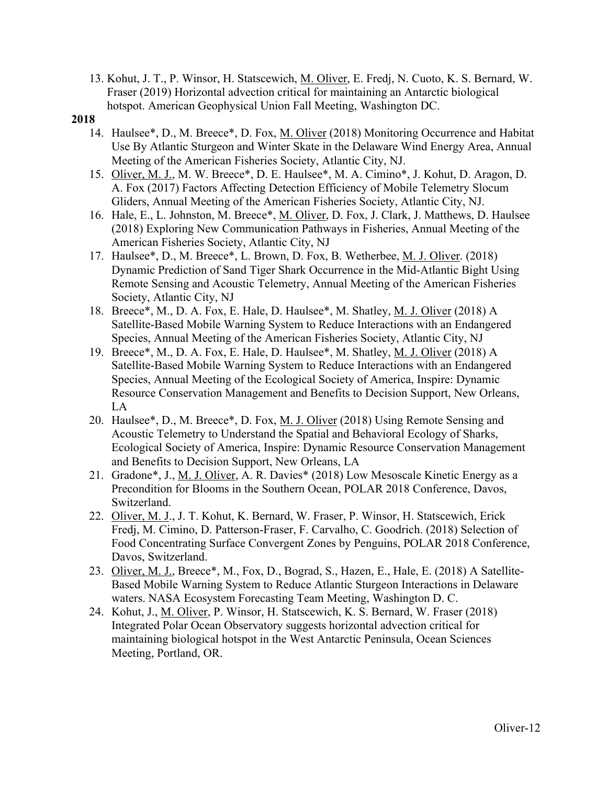13. Kohut, J. T., P. Winsor, H. Statscewich, M. Oliver, E. Fredj, N. Cuoto, K. S. Bernard, W. Fraser (2019) Horizontal advection critical for maintaining an Antarctic biological hotspot. American Geophysical Union Fall Meeting, Washington DC.

- 14. Haulsee\*, D., M. Breece\*, D. Fox, M. Oliver (2018) Monitoring Occurrence and Habitat Use By Atlantic Sturgeon and Winter Skate in the Delaware Wind Energy Area, Annual Meeting of the American Fisheries Society, Atlantic City, NJ.
- 15. Oliver, M. J., M. W. Breece\*, D. E. Haulsee\*, M. A. Cimino\*, J. Kohut, D. Aragon, D. A. Fox (2017) Factors Affecting Detection Efficiency of Mobile Telemetry Slocum Gliders, Annual Meeting of the American Fisheries Society, Atlantic City, NJ.
- 16. Hale, E., L. Johnston, M. Breece\*, M. Oliver, D. Fox, J. Clark, J. Matthews, D. Haulsee (2018) Exploring New Communication Pathways in Fisheries, Annual Meeting of the American Fisheries Society, Atlantic City, NJ
- 17. Haulsee\*, D., M. Breece\*, L. Brown, D. Fox, B. Wetherbee, M. J. Oliver. (2018) Dynamic Prediction of Sand Tiger Shark Occurrence in the Mid-Atlantic Bight Using Remote Sensing and Acoustic Telemetry, Annual Meeting of the American Fisheries Society, Atlantic City, NJ
- 18. Breece\*, M., D. A. Fox, E. Hale, D. Haulsee\*, M. Shatley, M. J. Oliver (2018) A Satellite-Based Mobile Warning System to Reduce Interactions with an Endangered Species, Annual Meeting of the American Fisheries Society, Atlantic City, NJ
- 19. Breece\*, M., D. A. Fox, E. Hale, D. Haulsee\*, M. Shatley, M. J. Oliver (2018) A Satellite-Based Mobile Warning System to Reduce Interactions with an Endangered Species, Annual Meeting of the Ecological Society of America, Inspire: Dynamic Resource Conservation Management and Benefits to Decision Support, New Orleans, LA
- 20. Haulsee\*, D., M. Breece\*, D. Fox, M. J. Oliver (2018) Using Remote Sensing and Acoustic Telemetry to Understand the Spatial and Behavioral Ecology of Sharks, Ecological Society of America, Inspire: Dynamic Resource Conservation Management and Benefits to Decision Support, New Orleans, LA
- 21. Gradone\*, J., M. J. Oliver, A. R. Davies\* (2018) Low Mesoscale Kinetic Energy as a Precondition for Blooms in the Southern Ocean, POLAR 2018 Conference, Davos, Switzerland.
- 22. Oliver, M. J., J. T. Kohut, K. Bernard, W. Fraser, P. Winsor, H. Statscewich, Erick Fredj, M. Cimino, D. Patterson-Fraser, F. Carvalho, C. Goodrich. (2018) Selection of Food Concentrating Surface Convergent Zones by Penguins, POLAR 2018 Conference, Davos, Switzerland.
- 23. Oliver, M. J., Breece\*, M., Fox, D., Bograd, S., Hazen, E., Hale, E. (2018) A Satellite-Based Mobile Warning System to Reduce Atlantic Sturgeon Interactions in Delaware waters. NASA Ecosystem Forecasting Team Meeting, Washington D. C.
- 24. Kohut, J., M. Oliver, P. Winsor, H. Statscewich, K. S. Bernard, W. Fraser (2018) Integrated Polar Ocean Observatory suggests horizontal advection critical for maintaining biological hotspot in the West Antarctic Peninsula, Ocean Sciences Meeting, Portland, OR.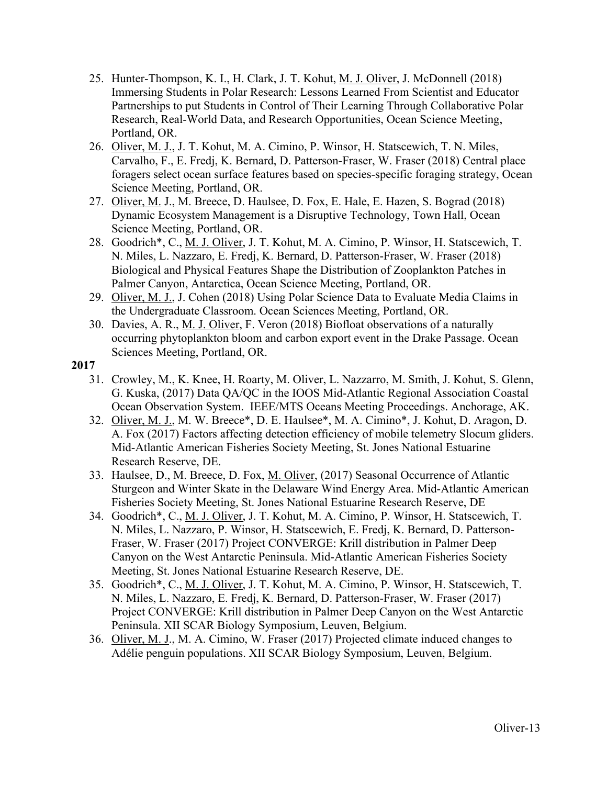- 25. Hunter-Thompson, K. I., H. Clark, J. T. Kohut, M. J. Oliver, J. McDonnell (2018) Immersing Students in Polar Research: Lessons Learned From Scientist and Educator Partnerships to put Students in Control of Their Learning Through Collaborative Polar Research, Real-World Data, and Research Opportunities, Ocean Science Meeting, Portland, OR.
- 26. Oliver, M. J., J. T. Kohut, M. A. Cimino, P. Winsor, H. Statscewich, T. N. Miles, Carvalho, F., E. Fredj, K. Bernard, D. Patterson-Fraser, W. Fraser (2018) Central place foragers select ocean surface features based on species-specific foraging strategy, Ocean Science Meeting, Portland, OR.
- 27. Oliver, M. J., M. Breece, D. Haulsee, D. Fox, E. Hale, E. Hazen, S. Bograd (2018) Dynamic Ecosystem Management is a Disruptive Technology, Town Hall, Ocean Science Meeting, Portland, OR.
- 28. Goodrich\*, C., M. J. Oliver, J. T. Kohut, M. A. Cimino, P. Winsor, H. Statscewich, T. N. Miles, L. Nazzaro, E. Fredj, K. Bernard, D. Patterson-Fraser, W. Fraser (2018) Biological and Physical Features Shape the Distribution of Zooplankton Patches in Palmer Canyon, Antarctica, Ocean Science Meeting, Portland, OR.
- 29. Oliver, M. J., J. Cohen (2018) Using Polar Science Data to Evaluate Media Claims in the Undergraduate Classroom. Ocean Sciences Meeting, Portland, OR.
- 30. Davies, A. R., M. J. Oliver, F. Veron (2018) Biofloat observations of a naturally occurring phytoplankton bloom and carbon export event in the Drake Passage. Ocean Sciences Meeting, Portland, OR.

- 31. Crowley, M., K. Knee, H. Roarty, M. Oliver, L. Nazzarro, M. Smith, J. Kohut, S. Glenn, G. Kuska, (2017) Data QA/QC in the IOOS Mid-Atlantic Regional Association Coastal Ocean Observation System. IEEE/MTS Oceans Meeting Proceedings. Anchorage, AK.
- 32. Oliver, M. J., M. W. Breece\*, D. E. Haulsee\*, M. A. Cimino\*, J. Kohut, D. Aragon, D. A. Fox (2017) Factors affecting detection efficiency of mobile telemetry Slocum gliders. Mid-Atlantic American Fisheries Society Meeting, St. Jones National Estuarine Research Reserve, DE.
- 33. Haulsee, D., M. Breece, D. Fox, M. Oliver, (2017) Seasonal Occurrence of Atlantic Sturgeon and Winter Skate in the Delaware Wind Energy Area. Mid-Atlantic American Fisheries Society Meeting, St. Jones National Estuarine Research Reserve, DE
- 34. Goodrich\*, C., M. J. Oliver, J. T. Kohut, M. A. Cimino, P. Winsor, H. Statscewich, T. N. Miles, L. Nazzaro, P. Winsor, H. Statscewich, E. Fredj, K. Bernard, D. Patterson-Fraser, W. Fraser (2017) Project CONVERGE: Krill distribution in Palmer Deep Canyon on the West Antarctic Peninsula. Mid-Atlantic American Fisheries Society Meeting, St. Jones National Estuarine Research Reserve, DE.
- 35. Goodrich\*, C., M. J. Oliver, J. T. Kohut, M. A. Cimino, P. Winsor, H. Statscewich, T. N. Miles, L. Nazzaro, E. Fredj, K. Bernard, D. Patterson-Fraser, W. Fraser (2017) Project CONVERGE: Krill distribution in Palmer Deep Canyon on the West Antarctic Peninsula. XII SCAR Biology Symposium, Leuven, Belgium.
- 36. Oliver, M. J., M. A. Cimino, W. Fraser (2017) Projected climate induced changes to Adélie penguin populations. XII SCAR Biology Symposium, Leuven, Belgium.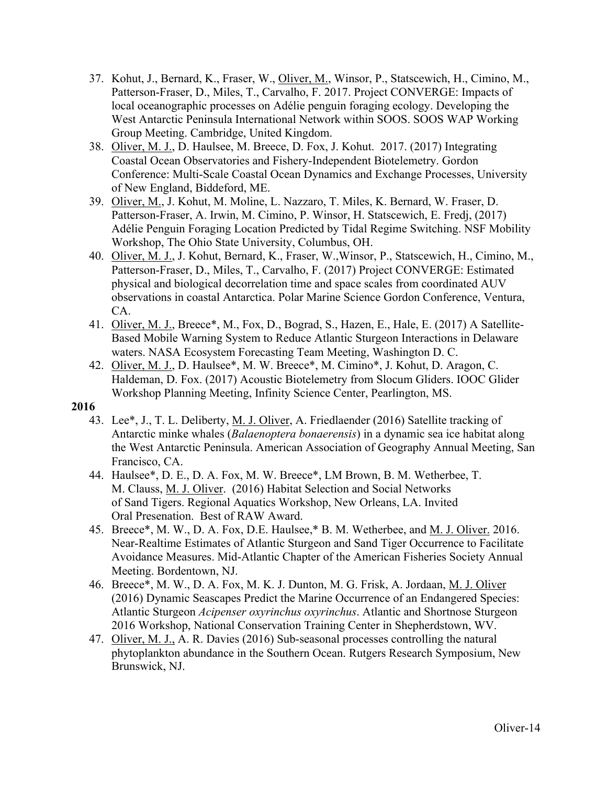- 37. Kohut, J., Bernard, K., Fraser, W., Oliver, M., Winsor, P., Statscewich, H., Cimino, M., Patterson-Fraser, D., Miles, T., Carvalho, F. 2017. Project CONVERGE: Impacts of local oceanographic processes on Adélie penguin foraging ecology. Developing the West Antarctic Peninsula International Network within SOOS. SOOS WAP Working Group Meeting. Cambridge, United Kingdom.
- 38. Oliver, M. J., D. Haulsee, M. Breece, D. Fox, J. Kohut. 2017. (2017) Integrating Coastal Ocean Observatories and Fishery-Independent Biotelemetry. Gordon Conference: Multi-Scale Coastal Ocean Dynamics and Exchange Processes, University of New England, Biddeford, ME.
- 39. Oliver, M., J. Kohut, M. Moline, L. Nazzaro, T. Miles, K. Bernard, W. Fraser, D. Patterson-Fraser, A. Irwin, M. Cimino, P. Winsor, H. Statscewich, E. Fredj, (2017) Adélie Penguin Foraging Location Predicted by Tidal Regime Switching. NSF Mobility Workshop, The Ohio State University, Columbus, OH.
- 40. Oliver, M. J., J. Kohut, Bernard, K., Fraser, W.,Winsor, P., Statscewich, H., Cimino, M., Patterson-Fraser, D., Miles, T., Carvalho, F. (2017) Project CONVERGE: Estimated physical and biological decorrelation time and space scales from coordinated AUV observations in coastal Antarctica. Polar Marine Science Gordon Conference, Ventura, CA.
- 41. Oliver, M. J., Breece\*, M., Fox, D., Bograd, S., Hazen, E., Hale, E. (2017) A Satellite-Based Mobile Warning System to Reduce Atlantic Sturgeon Interactions in Delaware waters. NASA Ecosystem Forecasting Team Meeting, Washington D. C.
- 42. Oliver, M. J., D. Haulsee\*, M. W. Breece\*, M. Cimino\*, J. Kohut, D. Aragon, C. Haldeman, D. Fox. (2017) Acoustic Biotelemetry from Slocum Gliders. IOOC Glider Workshop Planning Meeting, Infinity Science Center, Pearlington, MS.

- 43. Lee\*, J., T. L. Deliberty, M. J. Oliver, A. Friedlaender (2016) Satellite tracking of Antarctic minke whales (*Balaenoptera bonaerensis*) in a dynamic sea ice habitat along the West Antarctic Peninsula. American Association of Geography Annual Meeting, San Francisco, CA.
- 44. Haulsee\*, D. E., D. A. Fox, M. W. Breece\*, LM Brown, B. M. Wetherbee, T. M. Clauss, M. J. Oliver. (2016) Habitat Selection and Social Networks of Sand Tigers. Regional Aquatics Workshop, New Orleans, LA. Invited Oral Presenation. Best of RAW Award.
- 45. Breece\*, M. W., D. A. Fox, D.E. Haulsee,\* B. M. Wetherbee, and M. J. Oliver. 2016. Near-Realtime Estimates of Atlantic Sturgeon and Sand Tiger Occurrence to Facilitate Avoidance Measures. Mid-Atlantic Chapter of the American Fisheries Society Annual Meeting. Bordentown, NJ.
- 46. Breece\*, M. W., D. A. Fox, M. K. J. Dunton, M. G. Frisk, A. Jordaan, M. J. Oliver (2016) Dynamic Seascapes Predict the Marine Occurrence of an Endangered Species: Atlantic Sturgeon *Acipenser oxyrinchus oxyrinchus*. Atlantic and Shortnose Sturgeon 2016 Workshop, National Conservation Training Center in Shepherdstown, WV.
- 47. Oliver, M. J., A. R. Davies (2016) Sub-seasonal processes controlling the natural phytoplankton abundance in the Southern Ocean. Rutgers Research Symposium, New Brunswick, NJ.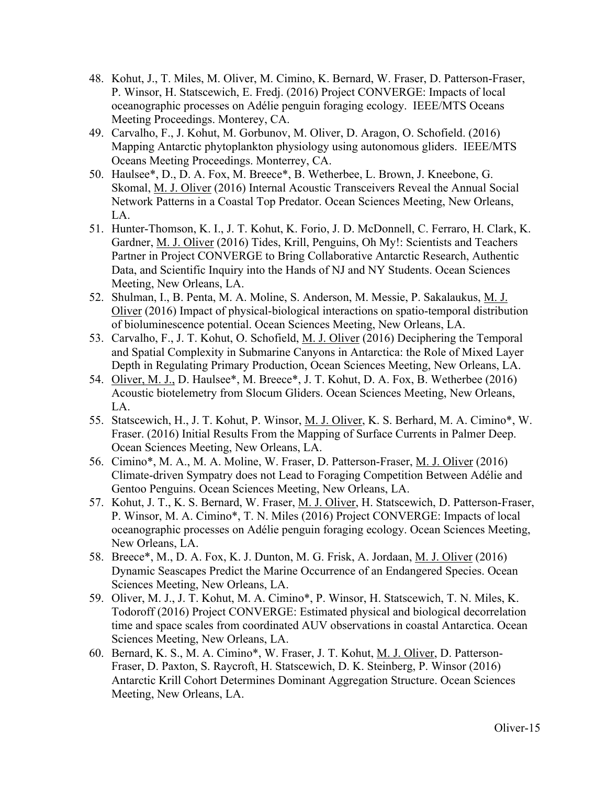- 48. Kohut, J., T. Miles, M. Oliver, M. Cimino, K. Bernard, W. Fraser, D. Patterson-Fraser, P. Winsor, H. Statscewich, E. Fredj. (2016) Project CONVERGE: Impacts of local oceanographic processes on Adélie penguin foraging ecology. IEEE/MTS Oceans Meeting Proceedings. Monterey, CA.
- 49. Carvalho, F., J. Kohut, M. Gorbunov, M. Oliver, D. Aragon, O. Schofield. (2016) Mapping Antarctic phytoplankton physiology using autonomous gliders. IEEE/MTS Oceans Meeting Proceedings. Monterrey, CA.
- 50. Haulsee\*, D., D. A. Fox, M. Breece\*, B. Wetherbee, L. Brown, J. Kneebone, G. Skomal, M. J. Oliver (2016) Internal Acoustic Transceivers Reveal the Annual Social Network Patterns in a Coastal Top Predator. Ocean Sciences Meeting, New Orleans, LA.
- 51. Hunter-Thomson, K. I., J. T. Kohut, K. Forio, J. D. McDonnell, C. Ferraro, H. Clark, K. Gardner, M. J. Oliver (2016) Tides, Krill, Penguins, Oh My!: Scientists and Teachers Partner in Project CONVERGE to Bring Collaborative Antarctic Research, Authentic Data, and Scientific Inquiry into the Hands of NJ and NY Students. Ocean Sciences Meeting, New Orleans, LA.
- 52. Shulman, I., B. Penta, M. A. Moline, S. Anderson, M. Messie, P. Sakalaukus, M. J. Oliver (2016) Impact of physical-biological interactions on spatio-temporal distribution of bioluminescence potential. Ocean Sciences Meeting, New Orleans, LA.
- 53. Carvalho, F., J. T. Kohut, O. Schofield, M. J. Oliver (2016) Deciphering the Temporal and Spatial Complexity in Submarine Canyons in Antarctica: the Role of Mixed Layer Depth in Regulating Primary Production, Ocean Sciences Meeting, New Orleans, LA.
- 54. Oliver, M. J., D. Haulsee\*, M. Breece\*, J. T. Kohut, D. A. Fox, B. Wetherbee (2016) Acoustic biotelemetry from Slocum Gliders. Ocean Sciences Meeting, New Orleans, LA.
- 55. Statscewich, H., J. T. Kohut, P. Winsor, M. J. Oliver, K. S. Berhard, M. A. Cimino\*, W. Fraser. (2016) Initial Results From the Mapping of Surface Currents in Palmer Deep. Ocean Sciences Meeting, New Orleans, LA.
- 56. Cimino\*, M. A., M. A. Moline, W. Fraser, D. Patterson-Fraser, M. J. Oliver (2016) Climate-driven Sympatry does not Lead to Foraging Competition Between Adélie and Gentoo Penguins. Ocean Sciences Meeting, New Orleans, LA.
- 57. Kohut, J. T., K. S. Bernard, W. Fraser, M. J. Oliver, H. Statscewich, D. Patterson-Fraser, P. Winsor, M. A. Cimino\*, T. N. Miles (2016) Project CONVERGE: Impacts of local oceanographic processes on Adélie penguin foraging ecology. Ocean Sciences Meeting, New Orleans, LA.
- 58. Breece\*, M., D. A. Fox, K. J. Dunton, M. G. Frisk, A. Jordaan, M. J. Oliver (2016) Dynamic Seascapes Predict the Marine Occurrence of an Endangered Species. Ocean Sciences Meeting, New Orleans, LA.
- 59. Oliver, M. J., J. T. Kohut, M. A. Cimino\*, P. Winsor, H. Statscewich, T. N. Miles, K. Todoroff (2016) Project CONVERGE: Estimated physical and biological decorrelation time and space scales from coordinated AUV observations in coastal Antarctica. Ocean Sciences Meeting, New Orleans, LA.
- 60. Bernard, K. S., M. A. Cimino\*, W. Fraser, J. T. Kohut, M. J. Oliver, D. Patterson-Fraser, D. Paxton, S. Raycroft, H. Statscewich, D. K. Steinberg, P. Winsor (2016) Antarctic Krill Cohort Determines Dominant Aggregation Structure. Ocean Sciences Meeting, New Orleans, LA.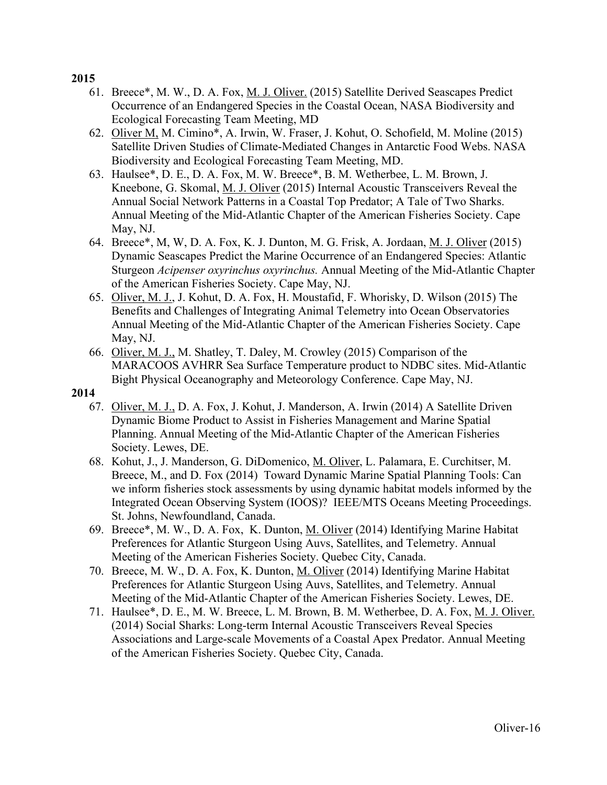- 61. Breece\*, M. W., D. A. Fox, M. J. Oliver. (2015) Satellite Derived Seascapes Predict Occurrence of an Endangered Species in the Coastal Ocean, NASA Biodiversity and Ecological Forecasting Team Meeting, MD
- 62. Oliver M, M. Cimino\*, A. Irwin, W. Fraser, J. Kohut, O. Schofield, M. Moline (2015) Satellite Driven Studies of Climate-Mediated Changes in Antarctic Food Webs. NASA Biodiversity and Ecological Forecasting Team Meeting, MD.
- 63. Haulsee\*, D. E., D. A. Fox, M. W. Breece\*, B. M. Wetherbee, L. M. Brown, J. Kneebone, G. Skomal, M. J. Oliver (2015) Internal Acoustic Transceivers Reveal the Annual Social Network Patterns in a Coastal Top Predator; A Tale of Two Sharks. Annual Meeting of the Mid-Atlantic Chapter of the American Fisheries Society. Cape May, NJ.
- 64. Breece\*, M, W, D. A. Fox, K. J. Dunton, M. G. Frisk, A. Jordaan, M. J. Oliver (2015) Dynamic Seascapes Predict the Marine Occurrence of an Endangered Species: Atlantic Sturgeon *Acipenser oxyrinchus oxyrinchus.* Annual Meeting of the Mid-Atlantic Chapter of the American Fisheries Society. Cape May, NJ.
- 65. Oliver, M. J., J. Kohut, D. A. Fox, H. Moustafid, F. Whorisky, D. Wilson (2015) The Benefits and Challenges of Integrating Animal Telemetry into Ocean Observatories Annual Meeting of the Mid-Atlantic Chapter of the American Fisheries Society. Cape May, NJ.
- 66. Oliver, M. J., M. Shatley, T. Daley, M. Crowley (2015) Comparison of the MARACOOS AVHRR Sea Surface Temperature product to NDBC sites. Mid-Atlantic Bight Physical Oceanography and Meteorology Conference. Cape May, NJ.

- 67. Oliver, M. J., D. A. Fox, J. Kohut, J. Manderson, A. Irwin (2014) A Satellite Driven Dynamic Biome Product to Assist in Fisheries Management and Marine Spatial Planning. Annual Meeting of the Mid-Atlantic Chapter of the American Fisheries Society. Lewes, DE.
- 68. Kohut, J., J. Manderson, G. DiDomenico, M. Oliver, L. Palamara, E. Curchitser, M. Breece, M., and D. Fox (2014) Toward Dynamic Marine Spatial Planning Tools: Can we inform fisheries stock assessments by using dynamic habitat models informed by the Integrated Ocean Observing System (IOOS)? IEEE/MTS Oceans Meeting Proceedings. St. Johns, Newfoundland, Canada.
- 69. Breece\*, M. W., D. A. Fox, K. Dunton, M. Oliver (2014) Identifying Marine Habitat Preferences for Atlantic Sturgeon Using Auvs, Satellites, and Telemetry. Annual Meeting of the American Fisheries Society. Quebec City, Canada.
- 70. Breece, M. W., D. A. Fox, K. Dunton, M. Oliver (2014) Identifying Marine Habitat Preferences for Atlantic Sturgeon Using Auvs, Satellites, and Telemetry. Annual Meeting of the Mid-Atlantic Chapter of the American Fisheries Society. Lewes, DE.
- 71. Haulsee\*, D. E., M. W. Breece, L. M. Brown, B. M. Wetherbee, D. A. Fox, M. J. Oliver. (2014) Social Sharks: Long-term Internal Acoustic Transceivers Reveal Species Associations and Large-scale Movements of a Coastal Apex Predator. Annual Meeting of the American Fisheries Society. Quebec City, Canada.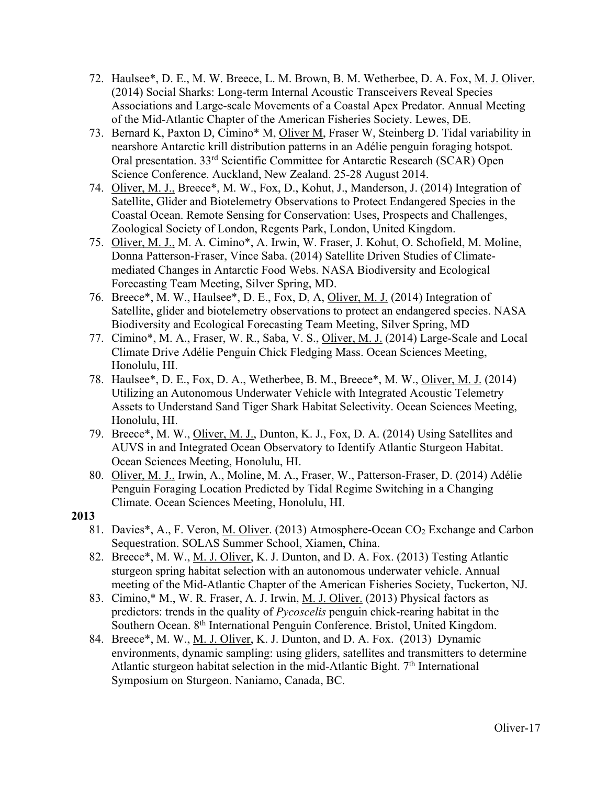- 72. Haulsee\*, D. E., M. W. Breece, L. M. Brown, B. M. Wetherbee, D. A. Fox, M. J. Oliver. (2014) Social Sharks: Long-term Internal Acoustic Transceivers Reveal Species Associations and Large-scale Movements of a Coastal Apex Predator. Annual Meeting of the Mid-Atlantic Chapter of the American Fisheries Society. Lewes, DE.
- 73. Bernard K, Paxton D, Cimino\* M, Oliver M, Fraser W, Steinberg D. Tidal variability in nearshore Antarctic krill distribution patterns in an Adélie penguin foraging hotspot. Oral presentation. 33rd Scientific Committee for Antarctic Research (SCAR) Open Science Conference. Auckland, New Zealand. 25-28 August 2014.
- 74. Oliver, M. J., Breece\*, M. W., Fox, D., Kohut, J., Manderson, J. (2014) Integration of Satellite, Glider and Biotelemetry Observations to Protect Endangered Species in the Coastal Ocean. Remote Sensing for Conservation: Uses, Prospects and Challenges, Zoological Society of London, Regents Park, London, United Kingdom.
- 75. Oliver, M. J., M. A. Cimino\*, A. Irwin, W. Fraser, J. Kohut, O. Schofield, M. Moline, Donna Patterson-Fraser, Vince Saba. (2014) Satellite Driven Studies of Climatemediated Changes in Antarctic Food Webs. NASA Biodiversity and Ecological Forecasting Team Meeting, Silver Spring, MD.
- 76. Breece\*, M. W., Haulsee\*, D. E., Fox, D, A, Oliver, M. J. (2014) Integration of Satellite, glider and biotelemetry observations to protect an endangered species. NASA Biodiversity and Ecological Forecasting Team Meeting, Silver Spring, MD
- 77. Cimino\*, M. A., Fraser, W. R., Saba, V. S., Oliver, M. J. (2014) Large-Scale and Local Climate Drive Adélie Penguin Chick Fledging Mass. Ocean Sciences Meeting, Honolulu, HI.
- 78. Haulsee\*, D. E., Fox, D. A., Wetherbee, B. M., Breece\*, M. W., Oliver, M. J. (2014) Utilizing an Autonomous Underwater Vehicle with Integrated Acoustic Telemetry Assets to Understand Sand Tiger Shark Habitat Selectivity. Ocean Sciences Meeting, Honolulu, HI.
- 79. Breece\*, M. W., Oliver, M. J., Dunton, K. J., Fox, D. A. (2014) Using Satellites and AUVS in and Integrated Ocean Observatory to Identify Atlantic Sturgeon Habitat. Ocean Sciences Meeting, Honolulu, HI.
- 80. Oliver, M. J., Irwin, A., Moline, M. A., Fraser, W., Patterson-Fraser, D. (2014) Adélie Penguin Foraging Location Predicted by Tidal Regime Switching in a Changing Climate. Ocean Sciences Meeting, Honolulu, HI.

- 81. Davies\*, A., F. Veron, M. Oliver. (2013) Atmosphere-Ocean CO2 Exchange and Carbon Sequestration. SOLAS Summer School, Xiamen, China.
- 82. Breece\*, M. W., M. J. Oliver, K. J. Dunton, and D. A. Fox. (2013) Testing Atlantic sturgeon spring habitat selection with an autonomous underwater vehicle. Annual meeting of the Mid-Atlantic Chapter of the American Fisheries Society, Tuckerton, NJ.
- 83. Cimino,\* M., W. R. Fraser, A. J. Irwin, M. J. Oliver. (2013) Physical factors as predictors: trends in the quality of *Pycoscelis* penguin chick-rearing habitat in the Southern Ocean. 8th International Penguin Conference. Bristol, United Kingdom.
- 84. Breece\*, M. W., M. J. Oliver, K. J. Dunton, and D. A. Fox. (2013) Dynamic environments, dynamic sampling: using gliders, satellites and transmitters to determine Atlantic sturgeon habitat selection in the mid-Atlantic Bight. 7<sup>th</sup> International Symposium on Sturgeon. Naniamo, Canada, BC.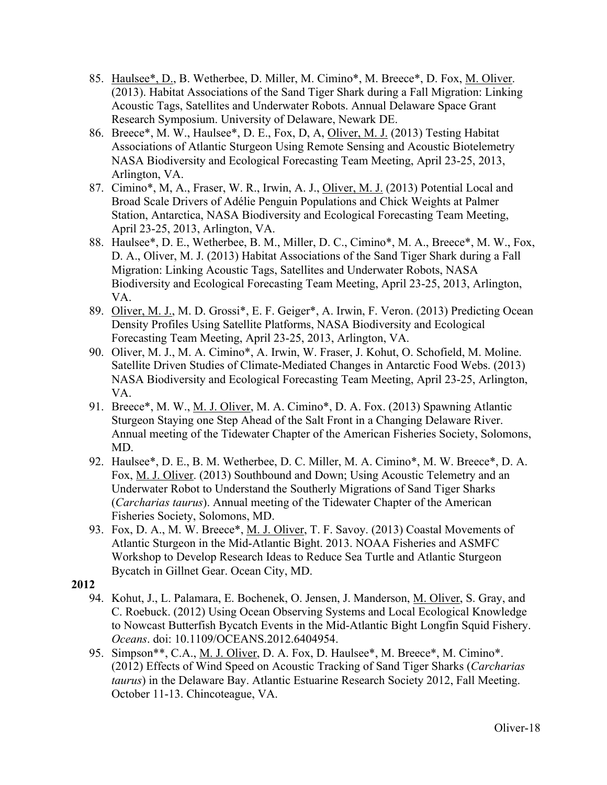- 85. Haulsee\*, D., B. Wetherbee, D. Miller, M. Cimino\*, M. Breece\*, D. Fox, M. Oliver. (2013). Habitat Associations of the Sand Tiger Shark during a Fall Migration: Linking Acoustic Tags, Satellites and Underwater Robots. Annual Delaware Space Grant Research Symposium. University of Delaware, Newark DE.
- 86. Breece\*, M. W., Haulsee\*, D. E., Fox, D, A, Oliver, M. J. (2013) Testing Habitat Associations of Atlantic Sturgeon Using Remote Sensing and Acoustic Biotelemetry NASA Biodiversity and Ecological Forecasting Team Meeting, April 23-25, 2013, Arlington, VA.
- 87. Cimino\*, M, A., Fraser, W. R., Irwin, A. J., Oliver, M. J. (2013) Potential Local and Broad Scale Drivers of Adélie Penguin Populations and Chick Weights at Palmer Station, Antarctica, NASA Biodiversity and Ecological Forecasting Team Meeting, April 23-25, 2013, Arlington, VA.
- 88. Haulsee\*, D. E., Wetherbee, B. M., Miller, D. C., Cimino\*, M. A., Breece\*, M. W., Fox, D. A., Oliver, M. J. (2013) Habitat Associations of the Sand Tiger Shark during a Fall Migration: Linking Acoustic Tags, Satellites and Underwater Robots, NASA Biodiversity and Ecological Forecasting Team Meeting, April 23-25, 2013, Arlington, VA.
- 89. Oliver, M. J., M. D. Grossi\*, E. F. Geiger\*, A. Irwin, F. Veron. (2013) Predicting Ocean Density Profiles Using Satellite Platforms, NASA Biodiversity and Ecological Forecasting Team Meeting, April 23-25, 2013, Arlington, VA.
- 90. Oliver, M. J., M. A. Cimino\*, A. Irwin, W. Fraser, J. Kohut, O. Schofield, M. Moline. Satellite Driven Studies of Climate-Mediated Changes in Antarctic Food Webs. (2013) NASA Biodiversity and Ecological Forecasting Team Meeting, April 23-25, Arlington, VA.
- 91. Breece\*, M. W., <u>M. J. Oliver</u>, M. A. Cimino\*, D. A. Fox. (2013) Spawning Atlantic Sturgeon Staying one Step Ahead of the Salt Front in a Changing Delaware River. Annual meeting of the Tidewater Chapter of the American Fisheries Society, Solomons, MD.
- 92. Haulsee\*, D. E., B. M. Wetherbee, D. C. Miller, M. A. Cimino\*, M. W. Breece\*, D. A. Fox, M. J. Oliver. (2013) Southbound and Down; Using Acoustic Telemetry and an Underwater Robot to Understand the Southerly Migrations of Sand Tiger Sharks (*Carcharias taurus*). Annual meeting of the Tidewater Chapter of the American Fisheries Society, Solomons, MD.
- 93. Fox, D. A., M. W. Breece\*, M. J. Oliver, T. F. Savoy. (2013) Coastal Movements of Atlantic Sturgeon in the Mid-Atlantic Bight. 2013. NOAA Fisheries and ASMFC Workshop to Develop Research Ideas to Reduce Sea Turtle and Atlantic Sturgeon Bycatch in Gillnet Gear. Ocean City, MD.
- **2012**
	- 94. Kohut, J., L. Palamara, E. Bochenek, O. Jensen, J. Manderson, M. Oliver, S. Gray, and C. Roebuck. (2012) Using Ocean Observing Systems and Local Ecological Knowledge to Nowcast Butterfish Bycatch Events in the Mid-Atlantic Bight Longfin Squid Fishery. *Oceans*. doi: 10.1109/OCEANS.2012.6404954.
	- 95. Simpson\*\*, C.A., M. J. Oliver, D. A. Fox, D. Haulsee\*, M. Breece\*, M. Cimino\*. (2012) Effects of Wind Speed on Acoustic Tracking of Sand Tiger Sharks (*Carcharias taurus*) in the Delaware Bay. Atlantic Estuarine Research Society 2012, Fall Meeting. October 11-13. Chincoteague, VA.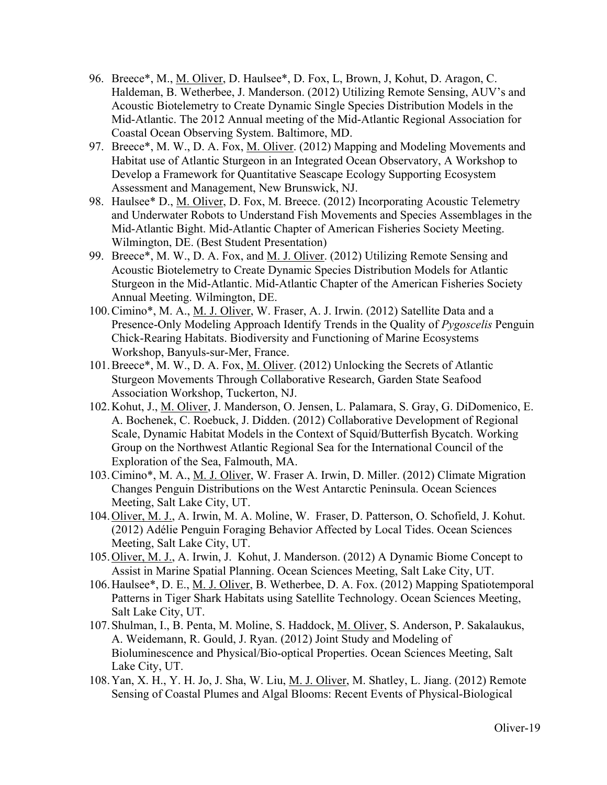- 96. Breece\*, M., M. Oliver, D. Haulsee\*, D. Fox, L, Brown, J, Kohut, D. Aragon, C. Haldeman, B. Wetherbee, J. Manderson. (2012) Utilizing Remote Sensing, AUV's and Acoustic Biotelemetry to Create Dynamic Single Species Distribution Models in the Mid-Atlantic. The 2012 Annual meeting of the Mid-Atlantic Regional Association for Coastal Ocean Observing System. Baltimore, MD.
- 97. Breece\*, M. W., D. A. Fox, M. Oliver. (2012) Mapping and Modeling Movements and Habitat use of Atlantic Sturgeon in an Integrated Ocean Observatory, A Workshop to Develop a Framework for Quantitative Seascape Ecology Supporting Ecosystem Assessment and Management, New Brunswick, NJ.
- 98. Haulsee\* D., M. Oliver, D. Fox, M. Breece. (2012) Incorporating Acoustic Telemetry and Underwater Robots to Understand Fish Movements and Species Assemblages in the Mid-Atlantic Bight. Mid-Atlantic Chapter of American Fisheries Society Meeting. Wilmington, DE. (Best Student Presentation)
- 99. Breece\*, M. W., D. A. Fox, and M. J. Oliver. (2012) Utilizing Remote Sensing and Acoustic Biotelemetry to Create Dynamic Species Distribution Models for Atlantic Sturgeon in the Mid-Atlantic. Mid-Atlantic Chapter of the American Fisheries Society Annual Meeting. Wilmington, DE.
- 100.Cimino\*, M. A., M. J. Oliver, W. Fraser, A. J. Irwin. (2012) Satellite Data and a Presence-Only Modeling Approach Identify Trends in the Quality of *Pygoscelis* Penguin Chick-Rearing Habitats. Biodiversity and Functioning of Marine Ecosystems Workshop, Banyuls-sur-Mer, France.
- 101.Breece\*, M. W., D. A. Fox, M. Oliver. (2012) Unlocking the Secrets of Atlantic Sturgeon Movements Through Collaborative Research, Garden State Seafood Association Workshop, Tuckerton, NJ.
- 102.Kohut, J., M. Oliver, J. Manderson, O. Jensen, L. Palamara, S. Gray, G. DiDomenico, E. A. Bochenek, C. Roebuck, J. Didden. (2012) Collaborative Development of Regional Scale, Dynamic Habitat Models in the Context of Squid/Butterfish Bycatch. Working Group on the Northwest Atlantic Regional Sea for the International Council of the Exploration of the Sea, Falmouth, MA.
- 103.Cimino\*, M. A., M. J. Oliver, W. Fraser A. Irwin, D. Miller. (2012) Climate Migration Changes Penguin Distributions on the West Antarctic Peninsula. Ocean Sciences Meeting, Salt Lake City, UT.
- 104.Oliver, M. J., A. Irwin, M. A. Moline, W. Fraser, D. Patterson, O. Schofield, J. Kohut. (2012) Adélie Penguin Foraging Behavior Affected by Local Tides. Ocean Sciences Meeting, Salt Lake City, UT.
- 105.Oliver, M. J., A. Irwin, J. Kohut, J. Manderson. (2012) A Dynamic Biome Concept to Assist in Marine Spatial Planning. Ocean Sciences Meeting, Salt Lake City, UT.
- 106.Haulsee\*, D. E., M. J. Oliver, B. Wetherbee, D. A. Fox. (2012) Mapping Spatiotemporal Patterns in Tiger Shark Habitats using Satellite Technology. Ocean Sciences Meeting, Salt Lake City, UT.
- 107.Shulman, I., B. Penta, M. Moline, S. Haddock, M. Oliver, S. Anderson, P. Sakalaukus, A. Weidemann, R. Gould, J. Ryan. (2012) Joint Study and Modeling of Bioluminescence and Physical/Bio-optical Properties. Ocean Sciences Meeting, Salt Lake City, UT.
- 108.Yan, X. H., Y. H. Jo, J. Sha, W. Liu, M. J. Oliver, M. Shatley, L. Jiang. (2012) Remote Sensing of Coastal Plumes and Algal Blooms: Recent Events of Physical-Biological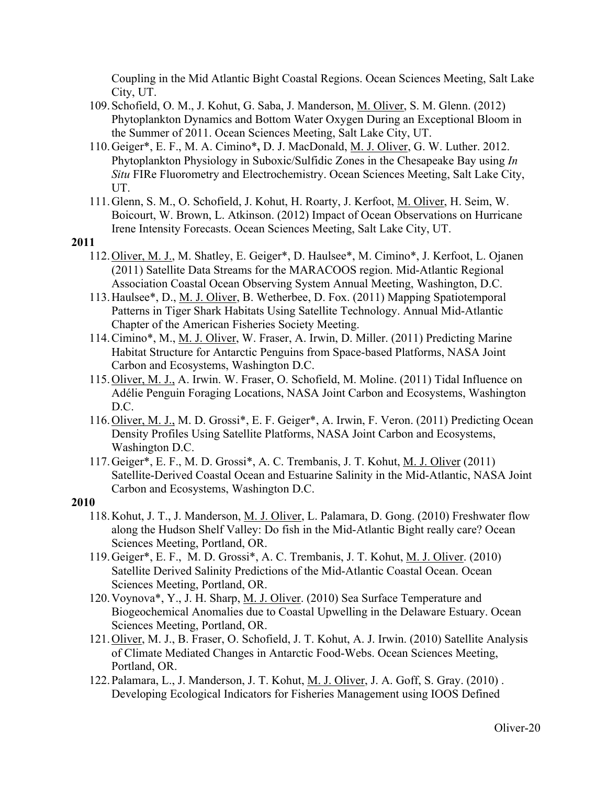Coupling in the Mid Atlantic Bight Coastal Regions. Ocean Sciences Meeting, Salt Lake City, UT.

- 109.Schofield, O. M., J. Kohut, G. Saba, J. Manderson, M. Oliver, S. M. Glenn. (2012) Phytoplankton Dynamics and Bottom Water Oxygen During an Exceptional Bloom in the Summer of 2011. Ocean Sciences Meeting, Salt Lake City, UT.
- 110.Geiger\*, E. F., M. A. Cimino\***,** D. J. MacDonald, M. J. Oliver, G. W. Luther. 2012. Phytoplankton Physiology in Suboxic/Sulfidic Zones in the Chesapeake Bay using *In Situ* FIRe Fluorometry and Electrochemistry. Ocean Sciences Meeting, Salt Lake City, UT.
- 111.Glenn, S. M., O. Schofield, J. Kohut, H. Roarty, J. Kerfoot, M. Oliver, H. Seim, W. Boicourt, W. Brown, L. Atkinson. (2012) Impact of Ocean Observations on Hurricane Irene Intensity Forecasts. Ocean Sciences Meeting, Salt Lake City, UT.

#### **2011**

- 112.Oliver, M. J., M. Shatley, E. Geiger\*, D. Haulsee\*, M. Cimino\*, J. Kerfoot, L. Ojanen (2011) Satellite Data Streams for the MARACOOS region. Mid-Atlantic Regional Association Coastal Ocean Observing System Annual Meeting, Washington, D.C.
- 113.Haulsee\*, D., M. J. Oliver, B. Wetherbee, D. Fox. (2011) Mapping Spatiotemporal Patterns in Tiger Shark Habitats Using Satellite Technology. Annual Mid-Atlantic Chapter of the American Fisheries Society Meeting.
- 114.Cimino\*, M., M. J. Oliver, W. Fraser, A. Irwin, D. Miller. (2011) Predicting Marine Habitat Structure for Antarctic Penguins from Space-based Platforms, NASA Joint Carbon and Ecosystems, Washington D.C.
- 115.Oliver, M. J., A. Irwin. W. Fraser, O. Schofield, M. Moline. (2011) Tidal Influence on Adélie Penguin Foraging Locations, NASA Joint Carbon and Ecosystems, Washington D.C.
- 116.Oliver, M. J., M. D. Grossi\*, E. F. Geiger\*, A. Irwin, F. Veron. (2011) Predicting Ocean Density Profiles Using Satellite Platforms, NASA Joint Carbon and Ecosystems, Washington D.C.
- 117.Geiger\*, E. F., M. D. Grossi\*, A. C. Trembanis, J. T. Kohut, M. J. Oliver (2011) Satellite-Derived Coastal Ocean and Estuarine Salinity in the Mid-Atlantic, NASA Joint Carbon and Ecosystems, Washington D.C.

- 118.Kohut, J. T., J. Manderson, M. J. Oliver, L. Palamara, D. Gong. (2010) Freshwater flow along the Hudson Shelf Valley: Do fish in the Mid-Atlantic Bight really care? Ocean Sciences Meeting, Portland, OR.
- 119.Geiger\*, E. F., M. D. Grossi\*, A. C. Trembanis, J. T. Kohut, M. J. Oliver. (2010) Satellite Derived Salinity Predictions of the Mid-Atlantic Coastal Ocean. Ocean Sciences Meeting, Portland, OR.
- 120.Voynova\*, Y., J. H. Sharp, M. J. Oliver. (2010) Sea Surface Temperature and Biogeochemical Anomalies due to Coastal Upwelling in the Delaware Estuary. Ocean Sciences Meeting, Portland, OR.
- 121.Oliver, M. J., B. Fraser, O. Schofield, J. T. Kohut, A. J. Irwin. (2010) Satellite Analysis of Climate Mediated Changes in Antarctic Food-Webs. Ocean Sciences Meeting, Portland, OR.
- 122.Palamara, L., J. Manderson, J. T. Kohut, M. J. Oliver, J. A. Goff, S. Gray. (2010) . Developing Ecological Indicators for Fisheries Management using IOOS Defined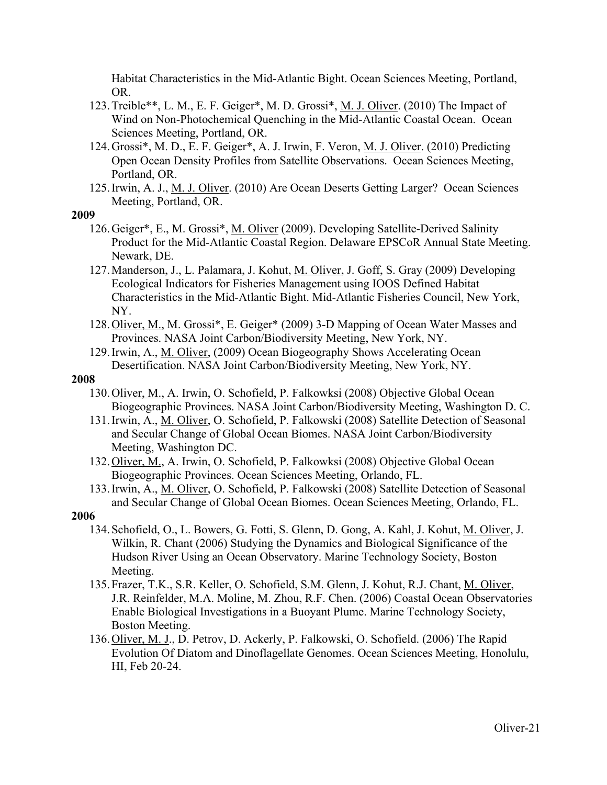Habitat Characteristics in the Mid-Atlantic Bight. Ocean Sciences Meeting, Portland, OR.

- 123.Treible\*\*, L. M., E. F. Geiger\*, M. D. Grossi\*, M. J. Oliver. (2010) The Impact of Wind on Non-Photochemical Quenching in the Mid-Atlantic Coastal Ocean. Ocean Sciences Meeting, Portland, OR.
- 124.Grossi\*, M. D., E. F. Geiger\*, A. J. Irwin, F. Veron, M. J. Oliver. (2010) Predicting Open Ocean Density Profiles from Satellite Observations. Ocean Sciences Meeting, Portland, OR.
- 125.Irwin, A. J., M. J. Oliver. (2010) Are Ocean Deserts Getting Larger? Ocean Sciences Meeting, Portland, OR.

#### **2009**

- 126.Geiger\*, E., M. Grossi\*, M. Oliver (2009). Developing Satellite-Derived Salinity Product for the Mid-Atlantic Coastal Region. Delaware EPSCoR Annual State Meeting. Newark, DE.
- 127.Manderson, J., L. Palamara, J. Kohut, M. Oliver, J. Goff, S. Gray (2009) Developing Ecological Indicators for Fisheries Management using IOOS Defined Habitat Characteristics in the Mid-Atlantic Bight. Mid-Atlantic Fisheries Council, New York, NY.
- 128.Oliver, M., M. Grossi\*, E. Geiger\* (2009) 3-D Mapping of Ocean Water Masses and Provinces. NASA Joint Carbon/Biodiversity Meeting, New York, NY.
- 129.Irwin, A., M. Oliver, (2009) Ocean Biogeography Shows Accelerating Ocean Desertification. NASA Joint Carbon/Biodiversity Meeting, New York, NY.

#### **2008**

- 130.Oliver, M., A. Irwin, O. Schofield, P. Falkowksi (2008) Objective Global Ocean Biogeographic Provinces. NASA Joint Carbon/Biodiversity Meeting, Washington D. C.
- 131.Irwin, A., M. Oliver, O. Schofield, P. Falkowski (2008) Satellite Detection of Seasonal and Secular Change of Global Ocean Biomes. NASA Joint Carbon/Biodiversity Meeting, Washington DC.
- 132.Oliver, M., A. Irwin, O. Schofield, P. Falkowksi (2008) Objective Global Ocean Biogeographic Provinces. Ocean Sciences Meeting, Orlando, FL.
- 133.Irwin, A., M. Oliver, O. Schofield, P. Falkowski (2008) Satellite Detection of Seasonal and Secular Change of Global Ocean Biomes. Ocean Sciences Meeting, Orlando, FL.

- 134.Schofield, O., L. Bowers, G. Fotti, S. Glenn, D. Gong, A. Kahl, J. Kohut, M. Oliver, J. Wilkin, R. Chant (2006) Studying the Dynamics and Biological Significance of the Hudson River Using an Ocean Observatory. Marine Technology Society, Boston Meeting.
- 135.Frazer, T.K., S.R. Keller, O. Schofield, S.M. Glenn, J. Kohut, R.J. Chant, M. Oliver, J.R. Reinfelder, M.A. Moline, M. Zhou, R.F. Chen. (2006) Coastal Ocean Observatories Enable Biological Investigations in a Buoyant Plume. Marine Technology Society, Boston Meeting.
- 136.Oliver, M. J., D. Petrov, D. Ackerly, P. Falkowski, O. Schofield. (2006) The Rapid Evolution Of Diatom and Dinoflagellate Genomes. Ocean Sciences Meeting, Honolulu, HI, Feb 20-24.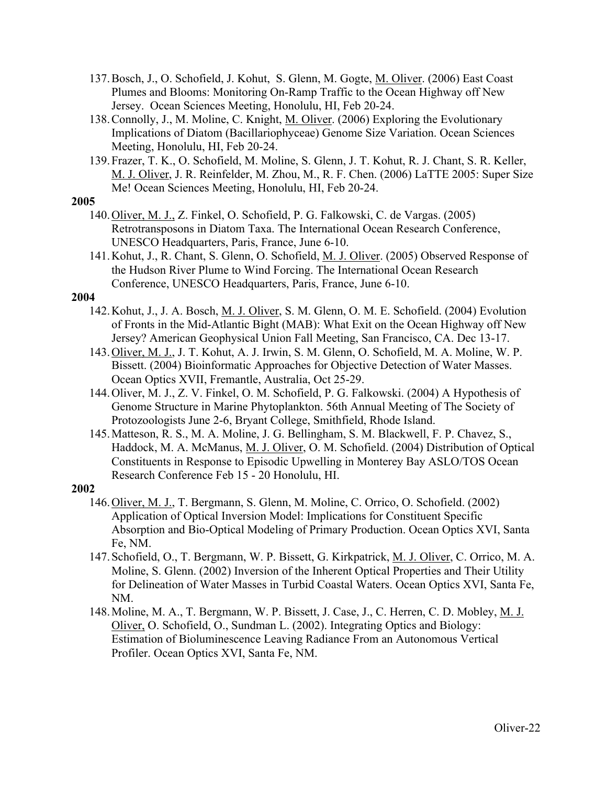- 137.Bosch, J., O. Schofield, J. Kohut, S. Glenn, M. Gogte, M. Oliver. (2006) East Coast Plumes and Blooms: Monitoring On-Ramp Traffic to the Ocean Highway off New Jersey. Ocean Sciences Meeting, Honolulu, HI, Feb 20-24.
- 138.Connolly, J., M. Moline, C. Knight, M. Oliver. (2006) Exploring the Evolutionary Implications of Diatom (Bacillariophyceae) Genome Size Variation. Ocean Sciences Meeting, Honolulu, HI, Feb 20-24.
- 139.Frazer, T. K., O. Schofield, M. Moline, S. Glenn, J. T. Kohut, R. J. Chant, S. R. Keller, M. J. Oliver, J. R. Reinfelder, M. Zhou, M., R. F. Chen. (2006) LaTTE 2005: Super Size Me! Ocean Sciences Meeting, Honolulu, HI, Feb 20-24.

- 140.Oliver, M. J., Z. Finkel, O. Schofield, P. G. Falkowski, C. de Vargas. (2005) Retrotransposons in Diatom Taxa. The International Ocean Research Conference, UNESCO Headquarters, Paris, France, June 6-10.
- 141.Kohut, J., R. Chant, S. Glenn, O. Schofield, M. J. Oliver. (2005) Observed Response of the Hudson River Plume to Wind Forcing. The International Ocean Research Conference, UNESCO Headquarters, Paris, France, June 6-10.

#### **2004**

- 142.Kohut, J., J. A. Bosch, M. J. Oliver, S. M. Glenn, O. M. E. Schofield. (2004) Evolution of Fronts in the Mid-Atlantic Bight (MAB): What Exit on the Ocean Highway off New Jersey? American Geophysical Union Fall Meeting, San Francisco, CA. Dec 13-17.
- 143.Oliver, M. J., J. T. Kohut, A. J. Irwin, S. M. Glenn, O. Schofield, M. A. Moline, W. P. Bissett. (2004) Bioinformatic Approaches for Objective Detection of Water Masses. Ocean Optics XVII, Fremantle, Australia, Oct 25-29.
- 144.Oliver, M. J., Z. V. Finkel, O. M. Schofield, P. G. Falkowski. (2004) A Hypothesis of Genome Structure in Marine Phytoplankton. 56th Annual Meeting of The Society of Protozoologists June 2-6, Bryant College, Smithfield, Rhode Island.
- 145.Matteson, R. S., M. A. Moline, J. G. Bellingham, S. M. Blackwell, F. P. Chavez, S., Haddock, M. A. McManus, M. J. Oliver, O. M. Schofield. (2004) Distribution of Optical Constituents in Response to Episodic Upwelling in Monterey Bay ASLO/TOS Ocean Research Conference Feb 15 - 20 Honolulu, HI.

- 146.Oliver, M. J., T. Bergmann, S. Glenn, M. Moline, C. Orrico, O. Schofield. (2002) Application of Optical Inversion Model: Implications for Constituent Specific Absorption and Bio-Optical Modeling of Primary Production. Ocean Optics XVI, Santa Fe, NM.
- 147.Schofield, O., T. Bergmann, W. P. Bissett, G. Kirkpatrick, M. J. Oliver, C. Orrico, M. A. Moline, S. Glenn. (2002) Inversion of the Inherent Optical Properties and Their Utility for Delineation of Water Masses in Turbid Coastal Waters. Ocean Optics XVI, Santa Fe, NM.
- 148.Moline, M. A., T. Bergmann, W. P. Bissett, J. Case, J., C. Herren, C. D. Mobley, M. J. Oliver, O. Schofield, O., Sundman L. (2002). Integrating Optics and Biology: Estimation of Bioluminescence Leaving Radiance From an Autonomous Vertical Profiler. Ocean Optics XVI, Santa Fe, NM.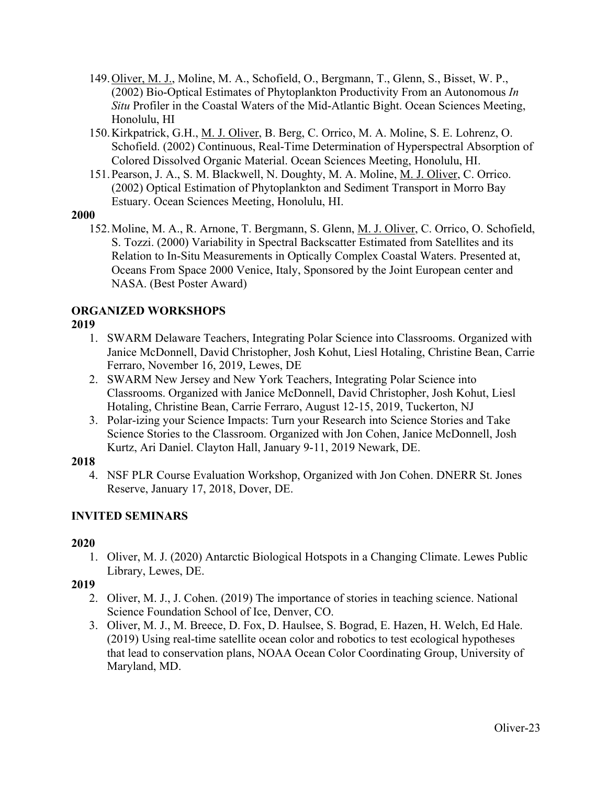- 149.Oliver, M. J., Moline, M. A., Schofield, O., Bergmann, T., Glenn, S., Bisset, W. P., (2002) Bio-Optical Estimates of Phytoplankton Productivity From an Autonomous *In Situ* Profiler in the Coastal Waters of the Mid-Atlantic Bight. Ocean Sciences Meeting, Honolulu, HI
- 150.Kirkpatrick, G.H., M. J. Oliver, B. Berg, C. Orrico, M. A. Moline, S. E. Lohrenz, O. Schofield. (2002) Continuous, Real-Time Determination of Hyperspectral Absorption of Colored Dissolved Organic Material. Ocean Sciences Meeting, Honolulu, HI.
- 151.Pearson, J. A., S. M. Blackwell, N. Doughty, M. A. Moline, M. J. Oliver, C. Orrico. (2002) Optical Estimation of Phytoplankton and Sediment Transport in Morro Bay Estuary. Ocean Sciences Meeting, Honolulu, HI.

152.Moline, M. A., R. Arnone, T. Bergmann, S. Glenn, M. J. Oliver, C. Orrico, O. Schofield, S. Tozzi. (2000) Variability in Spectral Backscatter Estimated from Satellites and its Relation to In-Situ Measurements in Optically Complex Coastal Waters. Presented at, Oceans From Space 2000 Venice, Italy, Sponsored by the Joint European center and NASA. (Best Poster Award)

# **ORGANIZED WORKSHOPS**

### **2019**

- 1. SWARM Delaware Teachers, Integrating Polar Science into Classrooms. Organized with Janice McDonnell, David Christopher, Josh Kohut, Liesl Hotaling, Christine Bean, Carrie Ferraro, November 16, 2019, Lewes, DE
- 2. SWARM New Jersey and New York Teachers, Integrating Polar Science into Classrooms. Organized with Janice McDonnell, David Christopher, Josh Kohut, Liesl Hotaling, Christine Bean, Carrie Ferraro, August 12-15, 2019, Tuckerton, NJ
- 3. Polar-izing your Science Impacts: Turn your Research into Science Stories and Take Science Stories to the Classroom. Organized with Jon Cohen, Janice McDonnell, Josh Kurtz, Ari Daniel. Clayton Hall, January 9-11, 2019 Newark, DE.

### **2018**

4. NSF PLR Course Evaluation Workshop, Organized with Jon Cohen. DNERR St. Jones Reserve, January 17, 2018, Dover, DE.

# **INVITED SEMINARS**

# **2020**

1. Oliver, M. J. (2020) Antarctic Biological Hotspots in a Changing Climate. Lewes Public Library, Lewes, DE.

- 2. Oliver, M. J., J. Cohen. (2019) The importance of stories in teaching science. National Science Foundation School of Ice, Denver, CO.
- 3. Oliver, M. J., M. Breece, D. Fox, D. Haulsee, S. Bograd, E. Hazen, H. Welch, Ed Hale. (2019) Using real-time satellite ocean color and robotics to test ecological hypotheses that lead to conservation plans, NOAA Ocean Color Coordinating Group, University of Maryland, MD.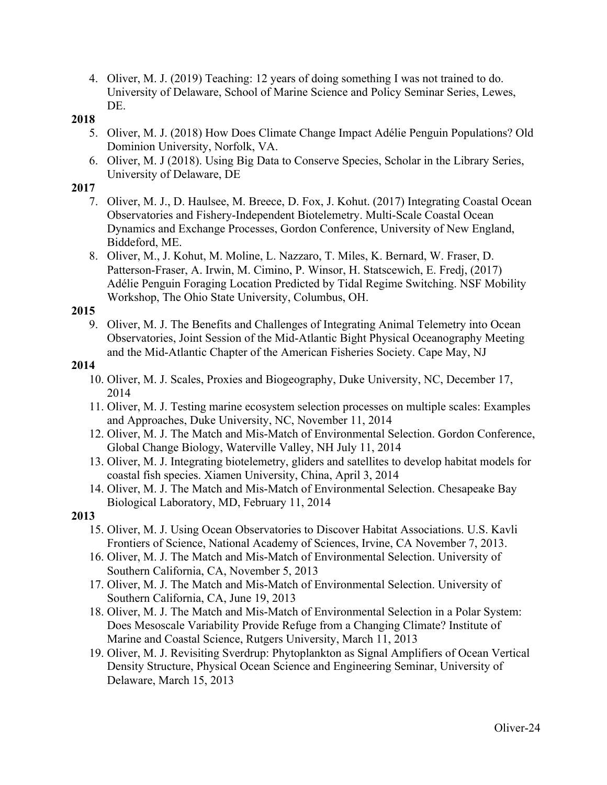4. Oliver, M. J. (2019) Teaching: 12 years of doing something I was not trained to do. University of Delaware, School of Marine Science and Policy Seminar Series, Lewes, DE.

### **2018**

- 5. Oliver, M. J. (2018) How Does Climate Change Impact Adélie Penguin Populations? Old Dominion University, Norfolk, VA.
- 6. Oliver, M. J (2018). Using Big Data to Conserve Species, Scholar in the Library Series, University of Delaware, DE

### **2017**

- 7. Oliver, M. J., D. Haulsee, M. Breece, D. Fox, J. Kohut. (2017) Integrating Coastal Ocean Observatories and Fishery-Independent Biotelemetry. Multi-Scale Coastal Ocean Dynamics and Exchange Processes, Gordon Conference, University of New England, Biddeford, ME.
- 8. Oliver, M., J. Kohut, M. Moline, L. Nazzaro, T. Miles, K. Bernard, W. Fraser, D. Patterson-Fraser, A. Irwin, M. Cimino, P. Winsor, H. Statscewich, E. Fredj, (2017) Adélie Penguin Foraging Location Predicted by Tidal Regime Switching. NSF Mobility Workshop, The Ohio State University, Columbus, OH.

### **2015**

9. Oliver, M. J. The Benefits and Challenges of Integrating Animal Telemetry into Ocean Observatories, Joint Session of the Mid-Atlantic Bight Physical Oceanography Meeting and the Mid-Atlantic Chapter of the American Fisheries Society. Cape May, NJ

### **2014**

- 10. Oliver, M. J. Scales, Proxies and Biogeography, Duke University, NC, December 17, 2014
- 11. Oliver, M. J. Testing marine ecosystem selection processes on multiple scales: Examples and Approaches, Duke University, NC, November 11, 2014
- 12. Oliver, M. J. The Match and Mis-Match of Environmental Selection. Gordon Conference, Global Change Biology, Waterville Valley, NH July 11, 2014
- 13. Oliver, M. J. Integrating biotelemetry, gliders and satellites to develop habitat models for coastal fish species. Xiamen University, China, April 3, 2014
- 14. Oliver, M. J. The Match and Mis-Match of Environmental Selection. Chesapeake Bay Biological Laboratory, MD, February 11, 2014

- 15. Oliver, M. J. Using Ocean Observatories to Discover Habitat Associations. U.S. Kavli Frontiers of Science, National Academy of Sciences, Irvine, CA November 7, 2013.
- 16. Oliver, M. J. The Match and Mis-Match of Environmental Selection. University of Southern California, CA, November 5, 2013
- 17. Oliver, M. J. The Match and Mis-Match of Environmental Selection. University of Southern California, CA, June 19, 2013
- 18. Oliver, M. J. The Match and Mis-Match of Environmental Selection in a Polar System: Does Mesoscale Variability Provide Refuge from a Changing Climate? Institute of Marine and Coastal Science, Rutgers University, March 11, 2013
- 19. Oliver, M. J. Revisiting Sverdrup: Phytoplankton as Signal Amplifiers of Ocean Vertical Density Structure, Physical Ocean Science and Engineering Seminar, University of Delaware, March 15, 2013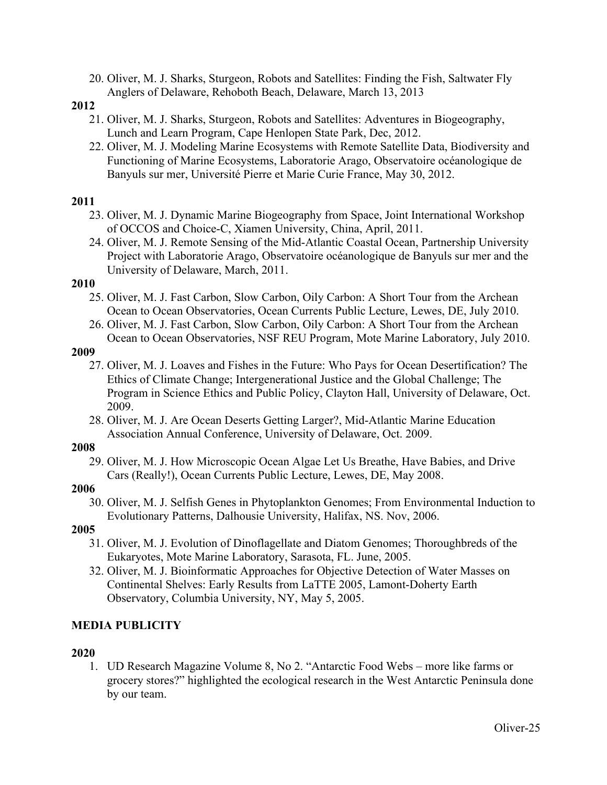20. Oliver, M. J. Sharks, Sturgeon, Robots and Satellites: Finding the Fish, Saltwater Fly Anglers of Delaware, Rehoboth Beach, Delaware, March 13, 2013

#### **2012**

- 21. Oliver, M. J. Sharks, Sturgeon, Robots and Satellites: Adventures in Biogeography, Lunch and Learn Program, Cape Henlopen State Park, Dec, 2012.
- 22. Oliver, M. J. Modeling Marine Ecosystems with Remote Satellite Data, Biodiversity and Functioning of Marine Ecosystems, Laboratorie Arago, Observatoire océanologique de Banyuls sur mer, Université Pierre et Marie Curie France, May 30, 2012.

### **2011**

- 23. Oliver, M. J. Dynamic Marine Biogeography from Space, Joint International Workshop of OCCOS and Choice-C, Xiamen University, China, April, 2011.
- 24. Oliver, M. J. Remote Sensing of the Mid-Atlantic Coastal Ocean, Partnership University Project with Laboratorie Arago, Observatoire océanologique de Banyuls sur mer and the University of Delaware, March, 2011.

#### **2010**

- 25. Oliver, M. J. Fast Carbon, Slow Carbon, Oily Carbon: A Short Tour from the Archean Ocean to Ocean Observatories, Ocean Currents Public Lecture, Lewes, DE, July 2010.
- 26. Oliver, M. J. Fast Carbon, Slow Carbon, Oily Carbon: A Short Tour from the Archean Ocean to Ocean Observatories, NSF REU Program, Mote Marine Laboratory, July 2010.

#### **2009**

- 27. Oliver, M. J. Loaves and Fishes in the Future: Who Pays for Ocean Desertification? The Ethics of Climate Change; Intergenerational Justice and the Global Challenge; The Program in Science Ethics and Public Policy, Clayton Hall, University of Delaware, Oct. 2009.
- 28. Oliver, M. J. Are Ocean Deserts Getting Larger?, Mid-Atlantic Marine Education Association Annual Conference, University of Delaware, Oct. 2009.

### **2008**

29. Oliver, M. J. How Microscopic Ocean Algae Let Us Breathe, Have Babies, and Drive Cars (Really!), Ocean Currents Public Lecture, Lewes, DE, May 2008.

### **2006**

30. Oliver, M. J. Selfish Genes in Phytoplankton Genomes; From Environmental Induction to Evolutionary Patterns, Dalhousie University, Halifax, NS. Nov, 2006.

### **2005**

- 31. Oliver, M. J. Evolution of Dinoflagellate and Diatom Genomes; Thoroughbreds of the Eukaryotes, Mote Marine Laboratory, Sarasota, FL. June, 2005.
- 32. Oliver, M. J. Bioinformatic Approaches for Objective Detection of Water Masses on Continental Shelves: Early Results from LaTTE 2005, Lamont-Doherty Earth Observatory, Columbia University, NY, May 5, 2005.

# **MEDIA PUBLICITY**

### **2020**

1. UD Research Magazine Volume 8, No 2. "Antarctic Food Webs – more like farms or grocery stores?" highlighted the ecological research in the West Antarctic Peninsula done by our team.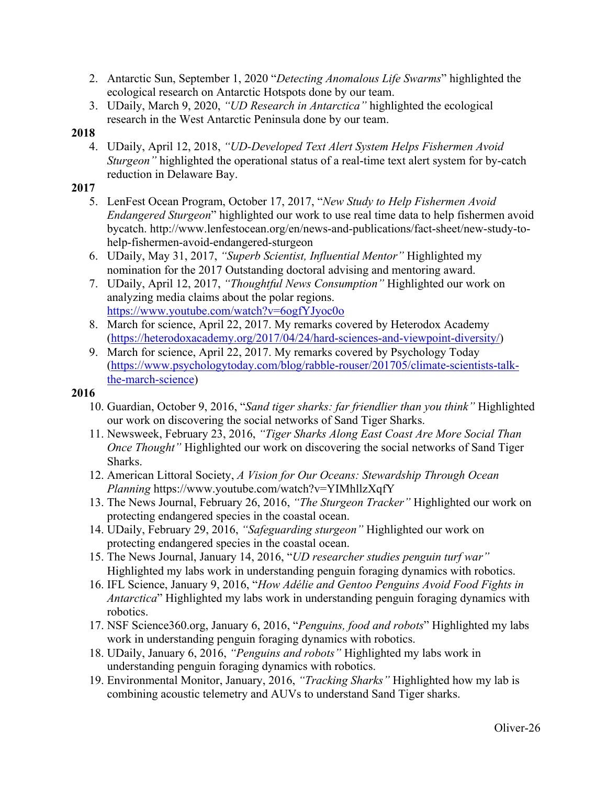- 2. Antarctic Sun, September 1, 2020 "*Detecting Anomalous Life Swarms*" highlighted the ecological research on Antarctic Hotspots done by our team.
- 3. UDaily, March 9, 2020, *"UD Research in Antarctica"* highlighted the ecological research in the West Antarctic Peninsula done by our team.

4. UDaily, April 12, 2018, *"UD-Developed Text Alert System Helps Fishermen Avoid Sturgeon"* highlighted the operational status of a real-time text alert system for by-catch reduction in Delaware Bay.

### **2017**

- 5. LenFest Ocean Program, October 17, 2017, "*New Study to Help Fishermen Avoid Endangered Sturgeon*" highlighted our work to use real time data to help fishermen avoid bycatch. http://www.lenfestocean.org/en/news-and-publications/fact-sheet/new-study-tohelp-fishermen-avoid-endangered-sturgeon
- 6. UDaily, May 31, 2017, *"Superb Scientist, Influential Mentor"* Highlighted my nomination for the 2017 Outstanding doctoral advising and mentoring award.
- 7. UDaily, April 12, 2017, *"Thoughtful News Consumption"* Highlighted our work on analyzing media claims about the polar regions. https://www.youtube.com/watch?v=6ogfYJyoc0o
- 8. March for science, April 22, 2017. My remarks covered by Heterodox Academy (https://heterodoxacademy.org/2017/04/24/hard-sciences-and-viewpoint-diversity/)
- 9. March for science, April 22, 2017. My remarks covered by Psychology Today (https://www.psychologytoday.com/blog/rabble-rouser/201705/climate-scientists-talkthe-march-science)

- 10. Guardian, October 9, 2016, "*Sand tiger sharks: far friendlier than you think"* Highlighted our work on discovering the social networks of Sand Tiger Sharks.
- 11. Newsweek, February 23, 2016, *"Tiger Sharks Along East Coast Are More Social Than Once Thought*" Highlighted our work on discovering the social networks of Sand Tiger Sharks.
- 12. American Littoral Society, *A Vision for Our Oceans: Stewardship Through Ocean Planning* https://www.youtube.com/watch?v=YIMhllzXqfY
- 13. The News Journal, February 26, 2016, *"The Sturgeon Tracker"* Highlighted our work on protecting endangered species in the coastal ocean.
- 14. UDaily, February 29, 2016, *"Safeguarding sturgeon"* Highlighted our work on protecting endangered species in the coastal ocean.
- 15. The News Journal, January 14, 2016, "*UD researcher studies penguin turf war"* Highlighted my labs work in understanding penguin foraging dynamics with robotics.
- 16. IFL Science, January 9, 2016, "*How Adélie and Gentoo Penguins Avoid Food Fights in Antarctica*" Highlighted my labs work in understanding penguin foraging dynamics with robotics.
- 17. NSF Science360.org, January 6, 2016, "*Penguins, food and robots*" Highlighted my labs work in understanding penguin foraging dynamics with robotics.
- 18. UDaily, January 6, 2016, *"Penguins and robots"* Highlighted my labs work in understanding penguin foraging dynamics with robotics.
- 19. Environmental Monitor, January, 2016, *"Tracking Sharks"* Highlighted how my lab is combining acoustic telemetry and AUVs to understand Sand Tiger sharks.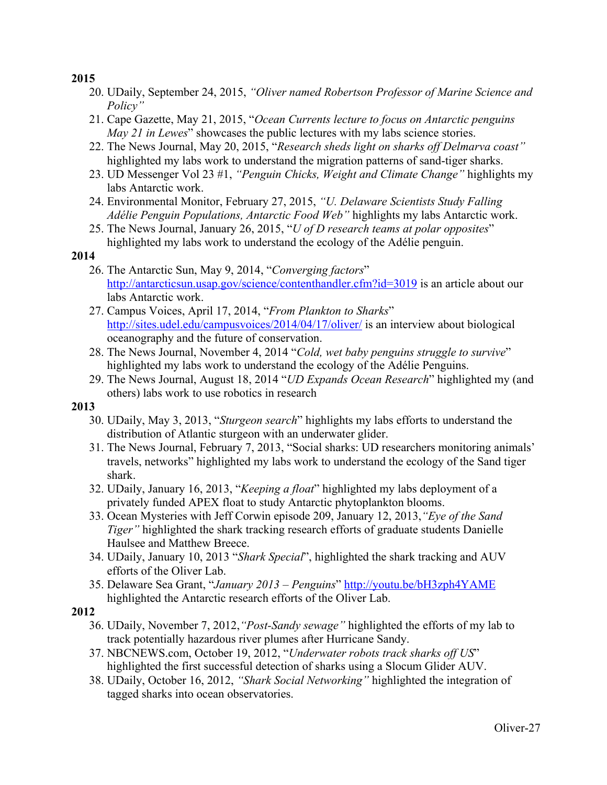- 20. UDaily, September 24, 2015, *"Oliver named Robertson Professor of Marine Science and Policy"*
- 21. Cape Gazette, May 21, 2015, "*Ocean Currents lecture to focus on Antarctic penguins May 21 in Lewes*" showcases the public lectures with my labs science stories.
- 22. The News Journal, May 20, 2015, "*Research sheds light on sharks off Delmarva coast"*  highlighted my labs work to understand the migration patterns of sand-tiger sharks.
- 23. UD Messenger Vol 23 #1, *"Penguin Chicks, Weight and Climate Change"* highlights my labs Antarctic work.
- 24. Environmental Monitor, February 27, 2015, *"U. Delaware Scientists Study Falling Adélie Penguin Populations, Antarctic Food Web"* highlights my labs Antarctic work.
- 25. The News Journal, January 26, 2015, "*U of D research teams at polar opposites*" highlighted my labs work to understand the ecology of the Adélie penguin.

### **2014**

- 26. The Antarctic Sun, May 9, 2014, "*Converging factors*" http://antarcticsun.usap.gov/science/contenthandler.cfm?id=3019 is an article about our labs Antarctic work.
- 27. Campus Voices, April 17, 2014, "*From Plankton to Sharks*" http://sites.udel.edu/campusvoices/2014/04/17/oliver/ is an interview about biological oceanography and the future of conservation.
- 28. The News Journal, November 4, 2014 "*Cold, wet baby penguins struggle to survive*" highlighted my labs work to understand the ecology of the Adélie Penguins.
- 29. The News Journal, August 18, 2014 "*UD Expands Ocean Research*" highlighted my (and others) labs work to use robotics in research

# **2013**

- 30. UDaily, May 3, 2013, "*Sturgeon search*" highlights my labs efforts to understand the distribution of Atlantic sturgeon with an underwater glider.
- 31. The News Journal, February 7, 2013, "Social sharks: UD researchers monitoring animals' travels, networks" highlighted my labs work to understand the ecology of the Sand tiger shark.
- 32. UDaily, January 16, 2013, "*Keeping a float*" highlighted my labs deployment of a privately funded APEX float to study Antarctic phytoplankton blooms.
- 33. Ocean Mysteries with Jeff Corwin episode 209, January 12, 2013,*"Eye of the Sand Tiger"* highlighted the shark tracking research efforts of graduate students Danielle Haulsee and Matthew Breece.
- 34. UDaily, January 10, 2013 "*Shark Special*", highlighted the shark tracking and AUV efforts of the Oliver Lab.
- 35. Delaware Sea Grant, "*January 2013 – Penguins*" http://youtu.be/bH3zph4YAME highlighted the Antarctic research efforts of the Oliver Lab.

- 36. UDaily, November 7, 2012,*"Post-Sandy sewage"* highlighted the efforts of my lab to track potentially hazardous river plumes after Hurricane Sandy.
- 37. NBCNEWS.com, October 19, 2012, "*Underwater robots track sharks off US*" highlighted the first successful detection of sharks using a Slocum Glider AUV.
- 38. UDaily, October 16, 2012, *"Shark Social Networking"* highlighted the integration of tagged sharks into ocean observatories.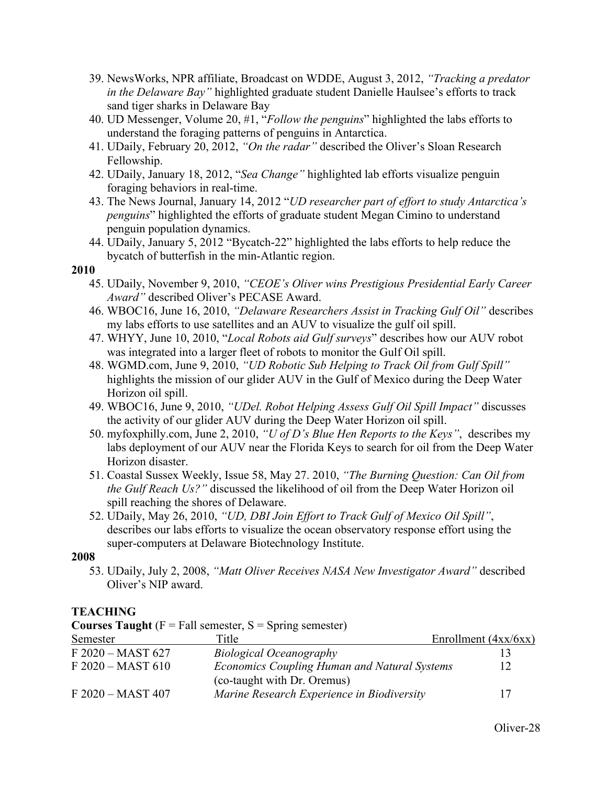- 39. NewsWorks, NPR affiliate, Broadcast on WDDE, August 3, 2012, *"Tracking a predator in the Delaware Bay"* highlighted graduate student Danielle Haulsee's efforts to track sand tiger sharks in Delaware Bay
- 40. UD Messenger, Volume 20, #1, "*Follow the penguins*" highlighted the labs efforts to understand the foraging patterns of penguins in Antarctica.
- 41. UDaily, February 20, 2012, *"On the radar"* described the Oliver's Sloan Research Fellowship.
- 42. UDaily, January 18, 2012, "*Sea Change"* highlighted lab efforts visualize penguin foraging behaviors in real-time.
- 43. The News Journal, January 14, 2012 "*UD researcher part of effort to study Antarctica's penguins*" highlighted the efforts of graduate student Megan Cimino to understand penguin population dynamics.
- 44. UDaily, January 5, 2012 "Bycatch-22" highlighted the labs efforts to help reduce the bycatch of butterfish in the min-Atlantic region.

- 45. UDaily, November 9, 2010, *"CEOE's Oliver wins Prestigious Presidential Early Career Award"* described Oliver's PECASE Award.
- 46. WBOC16, June 16, 2010, *"Delaware Researchers Assist in Tracking Gulf Oil"* describes my labs efforts to use satellites and an AUV to visualize the gulf oil spill.
- 47. WHYY, June 10, 2010, "*Local Robots aid Gulf surveys*" describes how our AUV robot was integrated into a larger fleet of robots to monitor the Gulf Oil spill.
- 48. WGMD.com, June 9, 2010, *"UD Robotic Sub Helping to Track Oil from Gulf Spill"* highlights the mission of our glider AUV in the Gulf of Mexico during the Deep Water Horizon oil spill.
- 49. WBOC16, June 9, 2010, *"UDel. Robot Helping Assess Gulf Oil Spill Impact"* discusses the activity of our glider AUV during the Deep Water Horizon oil spill.
- 50. myfoxphilly.com, June 2, 2010, *"U of D's Blue Hen Reports to the Keys"*, describes my labs deployment of our AUV near the Florida Keys to search for oil from the Deep Water Horizon disaster.
- 51. Coastal Sussex Weekly, Issue 58, May 27. 2010, *"The Burning Question: Can Oil from the Gulf Reach Us?"* discussed the likelihood of oil from the Deep Water Horizon oil spill reaching the shores of Delaware.
- 52. UDaily, May 26, 2010, *"UD, DBI Join Effort to Track Gulf of Mexico Oil Spill"*, describes our labs efforts to visualize the ocean observatory response effort using the super-computers at Delaware Biotechnology Institute.

#### **2008**

53. UDaily, July 2, 2008, *"Matt Oliver Receives NASA New Investigator Award"* described Oliver's NIP award.

### **TEACHING**

| $\sim$ $\sim$ $\sim$ $\sim$ $\sim$ $\sim$ $\sim$ $\sim$ | $\mathbf{r}$ and behaviour, $\mathbf{r}$ | $\mu$                                               |                        |
|---------------------------------------------------------|------------------------------------------|-----------------------------------------------------|------------------------|
| Semester                                                | Title                                    |                                                     | Enrollment $(4xx/6xx)$ |
| $F 2020 - MAST 627$                                     |                                          | <b>Biological Oceanography</b>                      |                        |
| $F 2020 - MAST 610$                                     |                                          | <b>Economics Coupling Human and Natural Systems</b> | 12                     |
|                                                         |                                          | (co-taught with Dr. Oremus)                         |                        |
| F 2020 - MAST 407                                       |                                          | Marine Research Experience in Biodiversity          | 17                     |
|                                                         |                                          |                                                     |                        |

**Courses Taught**  $(F = Fall semester, S = Spring semester)$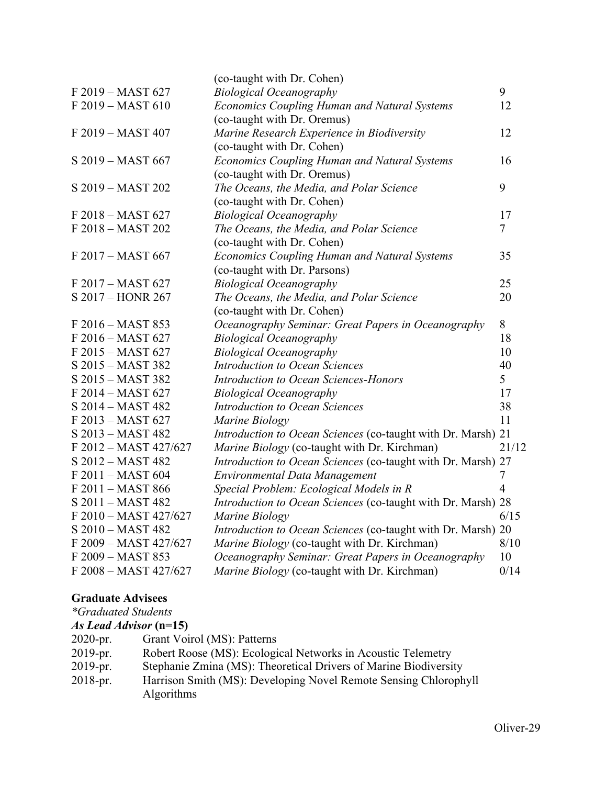|  |                       | (co-taught with Dr. Cohen)                                   |                |
|--|-----------------------|--------------------------------------------------------------|----------------|
|  | F 2019 - MAST 627     | <b>Biological Oceanography</b>                               | 9              |
|  | F 2019 - MAST 610     | <b>Economics Coupling Human and Natural Systems</b>          | 12             |
|  |                       | (co-taught with Dr. Oremus)                                  |                |
|  | F 2019 - MAST 407     | Marine Research Experience in Biodiversity                   | 12             |
|  |                       | (co-taught with Dr. Cohen)                                   |                |
|  | S 2019 - MAST 667     | <b>Economics Coupling Human and Natural Systems</b>          | 16             |
|  |                       | (co-taught with Dr. Oremus)                                  |                |
|  | S 2019 - MAST 202     | The Oceans, the Media, and Polar Science                     | 9              |
|  |                       | (co-taught with Dr. Cohen)                                   |                |
|  | F 2018 - MAST 627     | <b>Biological Oceanography</b>                               | 17             |
|  | F 2018 - MAST 202     | The Oceans, the Media, and Polar Science                     | $\tau$         |
|  |                       | (co-taught with Dr. Cohen)                                   |                |
|  | F 2017 - MAST 667     | Economics Coupling Human and Natural Systems                 | 35             |
|  |                       | (co-taught with Dr. Parsons)                                 |                |
|  | F 2017 - MAST 627     | <b>Biological Oceanography</b>                               | 25             |
|  | S 2017 - HONR 267     | The Oceans, the Media, and Polar Science                     | 20             |
|  |                       | (co-taught with Dr. Cohen)                                   |                |
|  | F 2016 - MAST 853     | Oceanography Seminar: Great Papers in Oceanography           | 8              |
|  | F 2016 - MAST 627     | <b>Biological Oceanography</b>                               | 18             |
|  | F 2015 - MAST 627     | <b>Biological Oceanography</b>                               | 10             |
|  | S 2015 - MAST 382     | <b>Introduction to Ocean Sciences</b>                        | 40             |
|  | S 2015 - MAST 382     | Introduction to Ocean Sciences-Honors                        | 5              |
|  | F 2014 - MAST 627     | <b>Biological Oceanography</b>                               | 17             |
|  | S 2014 - MAST 482     | <b>Introduction to Ocean Sciences</b>                        | 38             |
|  | F 2013 - MAST 627     | Marine Biology                                               | 11             |
|  | S 2013 - MAST 482     | Introduction to Ocean Sciences (co-taught with Dr. Marsh) 21 |                |
|  | F 2012 - MAST 427/627 | Marine Biology (co-taught with Dr. Kirchman)                 | 21/12          |
|  | S 2012 - MAST 482     | Introduction to Ocean Sciences (co-taught with Dr. Marsh) 27 |                |
|  | F 2011 - MAST 604     | Environmental Data Management                                | $\tau$         |
|  | F 2011 - MAST 866     | Special Problem: Ecological Models in R                      | $\overline{4}$ |
|  | S 2011 - MAST 482     | Introduction to Ocean Sciences (co-taught with Dr. Marsh) 28 |                |
|  | F 2010 - MAST 427/627 | Marine Biology                                               | 6/15           |
|  | S 2010 - MAST 482     | Introduction to Ocean Sciences (co-taught with Dr. Marsh) 20 |                |
|  | F 2009 - MAST 427/627 | Marine Biology (co-taught with Dr. Kirchman)                 | 8/10           |
|  | F 2009 - MAST 853     | Oceanography Seminar: Great Papers in Oceanography           | 10             |
|  | F 2008 - MAST 427/627 | Marine Biology (co-taught with Dr. Kirchman)                 | 0/14           |
|  |                       |                                                              |                |

# **Graduate Advisees**

*\*Graduated Students*

|            | <i>As Lead Advisor</i> (n=15)                                    |
|------------|------------------------------------------------------------------|
| $2020-pr.$ | Grant Voirol (MS): Patterns                                      |
| $2019-pr.$ | Robert Roose (MS): Ecological Networks in Acoustic Telemetry     |
| $2019-pr.$ | Stephanie Zmina (MS): Theoretical Drivers of Marine Biodiversity |
| $2018-pr.$ | Harrison Smith (MS): Developing Novel Remote Sensing Chlorophyll |
|            | <b>Algorithms</b>                                                |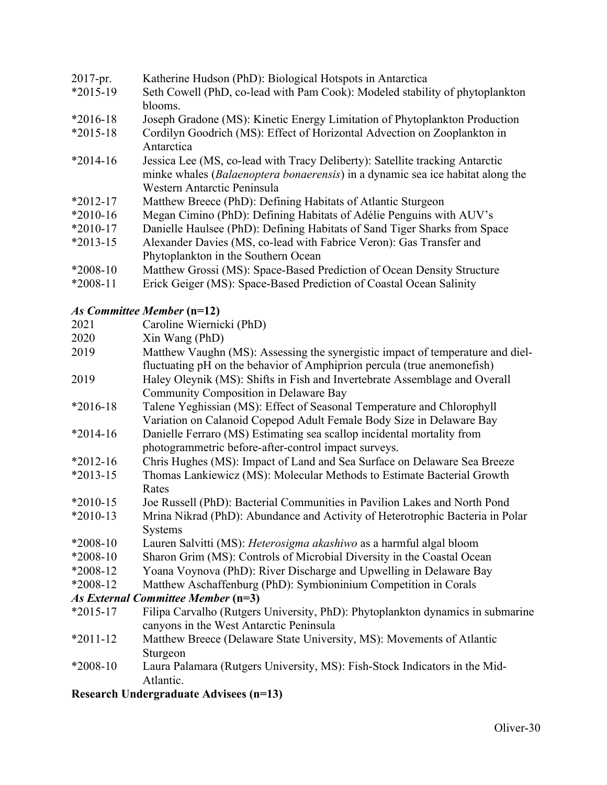| 2017-pr.   | Katherine Hudson (PhD): Biological Hotspots in Antarctica                                                                                                             |
|------------|-----------------------------------------------------------------------------------------------------------------------------------------------------------------------|
| $*2015-19$ | Seth Cowell (PhD, co-lead with Pam Cook): Modeled stability of phytoplankton                                                                                          |
|            | blooms.                                                                                                                                                               |
| $*2016-18$ | Joseph Gradone (MS): Kinetic Energy Limitation of Phytoplankton Production                                                                                            |
| $*2015-18$ | Cordilyn Goodrich (MS): Effect of Horizontal Advection on Zooplankton in<br>Antarctica                                                                                |
| $*2014-16$ | Jessica Lee (MS, co-lead with Tracy Deliberty): Satellite tracking Antarctic<br>minke whales <i>(Balaenoptera bonaerensis)</i> in a dynamic sea ice habitat along the |
|            | Western Antarctic Peninsula                                                                                                                                           |
| $*2012-17$ | Matthew Breece (PhD): Defining Habitats of Atlantic Sturgeon                                                                                                          |
| $*2010-16$ | Megan Cimino (PhD): Defining Habitats of Adélie Penguins with AUV's                                                                                                   |
| $*2010-17$ | Danielle Haulsee (PhD): Defining Habitats of Sand Tiger Sharks from Space                                                                                             |
| $*2013-15$ | Alexander Davies (MS, co-lead with Fabrice Veron): Gas Transfer and                                                                                                   |
|            | Phytoplankton in the Southern Ocean                                                                                                                                   |
| $*2008-10$ | Matthew Grossi (MS): Space-Based Prediction of Ocean Density Structure                                                                                                |
| $*2008-11$ | Erick Geiger (MS): Space-Based Prediction of Coastal Ocean Salinity                                                                                                   |

# *As Committee Member* **(n=12)**

- 2021 Caroline Wiernicki (PhD)
- 2020 Xin Wang (PhD)
- 2019 Matthew Vaughn (MS): Assessing the synergistic impact of temperature and dielfluctuating pH on the behavior of Amphiprion percula (true anemonefish)
- 2019 Haley Oleynik (MS): Shifts in Fish and Invertebrate Assemblage and Overall Community Composition in Delaware Bay
- \*2016-18 Talene Yeghissian (MS): Effect of Seasonal Temperature and Chlorophyll Variation on Calanoid Copepod Adult Female Body Size in Delaware Bay
- \*2014-16 Danielle Ferraro (MS) Estimating sea scallop incidental mortality from photogrammetric before-after-control impact surveys.
- \*2012-16 Chris Hughes (MS): Impact of Land and Sea Surface on Delaware Sea Breeze
- \*2013-15 Thomas Lankiewicz (MS): Molecular Methods to Estimate Bacterial Growth Rates
- \*2010-15 Joe Russell (PhD): Bacterial Communities in Pavilion Lakes and North Pond
- \*2010-13 Mrina Nikrad (PhD): Abundance and Activity of Heterotrophic Bacteria in Polar **Systems**
- \*2008-10 Lauren Salvitti (MS): *Heterosigma akashiwo* as a harmful algal bloom
- \*2008-10 Sharon Grim (MS): Controls of Microbial Diversity in the Coastal Ocean
- \*2008-12 Yoana Voynova (PhD): River Discharge and Upwelling in Delaware Bay
- \*2008-12 Matthew Aschaffenburg (PhD): Symbioninium Competition in Corals

# *As External Committee Member* **(n=3)**

- \*2015-17 Filipa Carvalho (Rutgers University, PhD): Phytoplankton dynamics in submarine canyons in the West Antarctic Peninsula
- \*2011-12 Matthew Breece (Delaware State University, MS): Movements of Atlantic Sturgeon
- \*2008-10 Laura Palamara (Rutgers University, MS): Fish-Stock Indicators in the Mid-Atlantic.

# **Research Undergraduate Advisees (n=13)**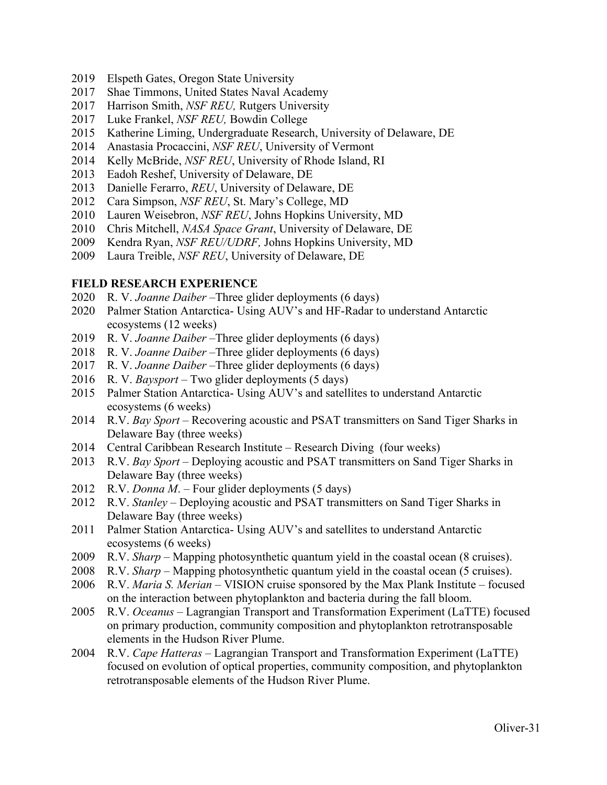- 2019 Elspeth Gates, Oregon State University
- 2017 Shae Timmons, United States Naval Academy
- 2017 Harrison Smith, *NSF REU,* Rutgers University
- 2017 Luke Frankel, *NSF REU,* Bowdin College
- 2015 Katherine Liming, Undergraduate Research, University of Delaware, DE
- 2014 Anastasia Procaccini, *NSF REU*, University of Vermont
- 2014 Kelly McBride, *NSF REU*, University of Rhode Island, RI
- 2013 Eadoh Reshef, University of Delaware, DE
- 2013 Danielle Ferarro, *REU*, University of Delaware, DE
- 2012 Cara Simpson, *NSF REU*, St. Mary's College, MD
- 2010 Lauren Weisebron, *NSF REU*, Johns Hopkins University, MD
- 2010 Chris Mitchell, *NASA Space Grant*, University of Delaware, DE
- 2009 Kendra Ryan, *NSF REU/UDRF,* Johns Hopkins University, MD
- 2009 Laura Treible, *NSF REU*, University of Delaware, DE

#### **FIELD RESEARCH EXPERIENCE**

- 2020 R. V. *Joanne Daiber* –Three glider deployments (6 days)
- 2020 Palmer Station Antarctica- Using AUV's and HF-Radar to understand Antarctic ecosystems (12 weeks)
- 2019 R. V. *Joanne Daiber* –Three glider deployments (6 days)
- 2018 R. V. *Joanne Daiber* –Three glider deployments (6 days)
- 2017 R. V. *Joanne Daiber* –Three glider deployments (6 days)
- 2016 R. V. *Baysport* Two glider deployments (5 days)
- 2015 Palmer Station Antarctica- Using AUV's and satellites to understand Antarctic ecosystems (6 weeks)
- 2014 R.V. *Bay Sport* Recovering acoustic and PSAT transmitters on Sand Tiger Sharks in Delaware Bay (three weeks)
- 2014 Central Caribbean Research Institute Research Diving (four weeks)
- 2013 R.V. *Bay Sport* Deploying acoustic and PSAT transmitters on Sand Tiger Sharks in Delaware Bay (three weeks)
- 2012 R.V. *Donna M*. Four glider deployments (5 days)
- 2012 R.V. *Stanley* Deploying acoustic and PSAT transmitters on Sand Tiger Sharks in Delaware Bay (three weeks)
- 2011 Palmer Station Antarctica- Using AUV's and satellites to understand Antarctic ecosystems (6 weeks)
- 2009 R.V. *Sharp* Mapping photosynthetic quantum yield in the coastal ocean (8 cruises).
- 2008 R.V. *Sharp* Mapping photosynthetic quantum yield in the coastal ocean (5 cruises).
- 2006 R.V. *Maria S. Merian* VISION cruise sponsored by the Max Plank Institute focused on the interaction between phytoplankton and bacteria during the fall bloom.
- 2005 R.V. *Oceanus* Lagrangian Transport and Transformation Experiment (LaTTE) focused on primary production, community composition and phytoplankton retrotransposable elements in the Hudson River Plume.
- 2004 R.V. *Cape Hatteras* Lagrangian Transport and Transformation Experiment (LaTTE) focused on evolution of optical properties, community composition, and phytoplankton retrotransposable elements of the Hudson River Plume.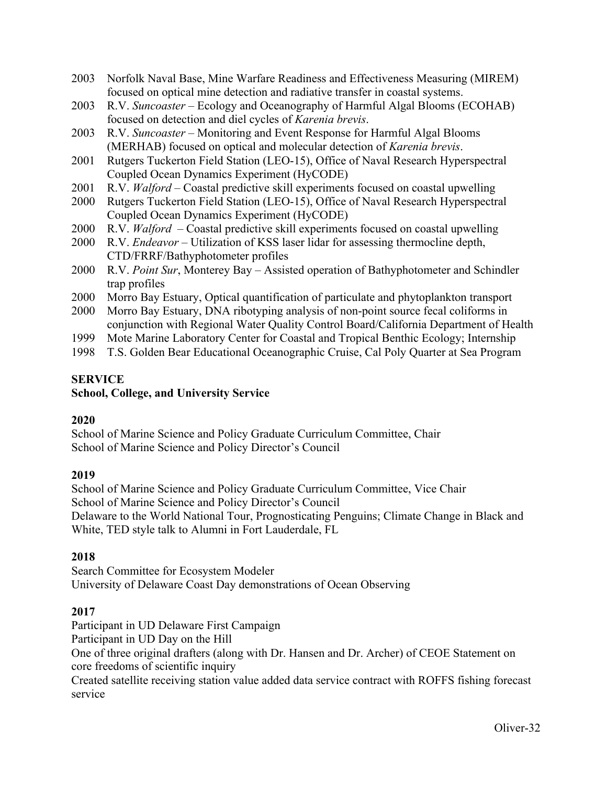- 2003 Norfolk Naval Base, Mine Warfare Readiness and Effectiveness Measuring (MIREM) focused on optical mine detection and radiative transfer in coastal systems.
- 2003 R.V. *Suncoaster* Ecology and Oceanography of Harmful Algal Blooms (ECOHAB) focused on detection and diel cycles of *Karenia brevis*.
- 2003 R.V. *Suncoaster*  Monitoring and Event Response for Harmful Algal Blooms (MERHAB) focused on optical and molecular detection of *Karenia brevis*.
- 2001 Rutgers Tuckerton Field Station (LEO-15), Office of Naval Research Hyperspectral Coupled Ocean Dynamics Experiment (HyCODE)
- 2001 R.V. *Walford* Coastal predictive skill experiments focused on coastal upwelling
- 2000 Rutgers Tuckerton Field Station (LEO-15), Office of Naval Research Hyperspectral Coupled Ocean Dynamics Experiment (HyCODE)
- 2000 R.V. *Walford* Coastal predictive skill experiments focused on coastal upwelling
- 2000 R.V. *Endeavor* Utilization of KSS laser lidar for assessing thermocline depth, CTD/FRRF/Bathyphotometer profiles
- 2000 R.V. *Point Sur*, Monterey Bay Assisted operation of Bathyphotometer and Schindler trap profiles
- 2000 Morro Bay Estuary, Optical quantification of particulate and phytoplankton transport
- 2000 Morro Bay Estuary, DNA ribotyping analysis of non-point source fecal coliforms in conjunction with Regional Water Quality Control Board/California Department of Health
- 1999 Mote Marine Laboratory Center for Coastal and Tropical Benthic Ecology; Internship
- 1998 T.S. Golden Bear Educational Oceanographic Cruise, Cal Poly Quarter at Sea Program

### **SERVICE**

### **School, College, and University Service**

### **2020**

School of Marine Science and Policy Graduate Curriculum Committee, Chair School of Marine Science and Policy Director's Council

### **2019**

School of Marine Science and Policy Graduate Curriculum Committee, Vice Chair School of Marine Science and Policy Director's Council Delaware to the World National Tour, Prognosticating Penguins; Climate Change in Black and White, TED style talk to Alumni in Fort Lauderdale, FL

# **2018**

Search Committee for Ecosystem Modeler University of Delaware Coast Day demonstrations of Ocean Observing

### **2017**

Participant in UD Delaware First Campaign

Participant in UD Day on the Hill

One of three original drafters (along with Dr. Hansen and Dr. Archer) of CEOE Statement on core freedoms of scientific inquiry

Created satellite receiving station value added data service contract with ROFFS fishing forecast service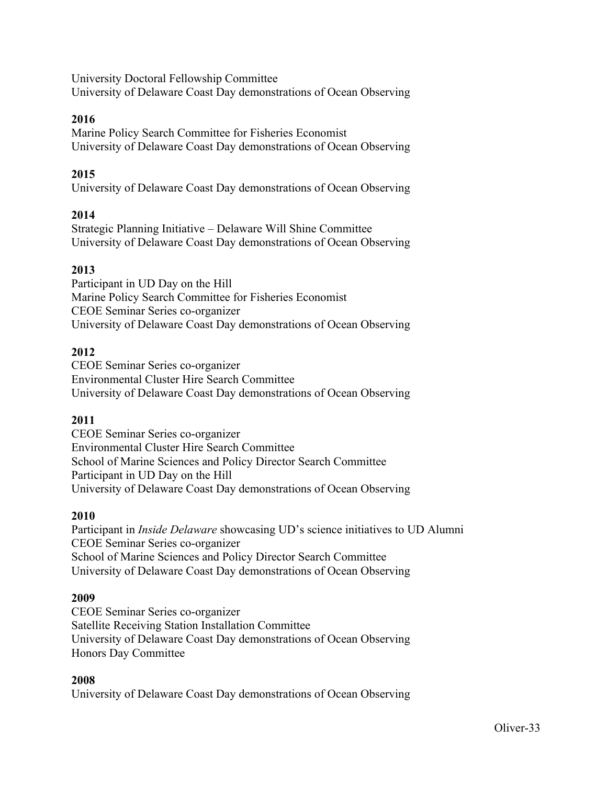University Doctoral Fellowship Committee University of Delaware Coast Day demonstrations of Ocean Observing

### **2016**

Marine Policy Search Committee for Fisheries Economist University of Delaware Coast Day demonstrations of Ocean Observing

### **2015**

University of Delaware Coast Day demonstrations of Ocean Observing

### **2014**

Strategic Planning Initiative – Delaware Will Shine Committee University of Delaware Coast Day demonstrations of Ocean Observing

### **2013**

Participant in UD Day on the Hill Marine Policy Search Committee for Fisheries Economist CEOE Seminar Series co-organizer University of Delaware Coast Day demonstrations of Ocean Observing

#### **2012**

CEOE Seminar Series co-organizer Environmental Cluster Hire Search Committee University of Delaware Coast Day demonstrations of Ocean Observing

### **2011**

CEOE Seminar Series co-organizer Environmental Cluster Hire Search Committee School of Marine Sciences and Policy Director Search Committee Participant in UD Day on the Hill University of Delaware Coast Day demonstrations of Ocean Observing

#### **2010**

Participant in *Inside Delaware* showcasing UD's science initiatives to UD Alumni CEOE Seminar Series co-organizer School of Marine Sciences and Policy Director Search Committee University of Delaware Coast Day demonstrations of Ocean Observing

#### **2009**

CEOE Seminar Series co-organizer Satellite Receiving Station Installation Committee University of Delaware Coast Day demonstrations of Ocean Observing Honors Day Committee

#### **2008**

University of Delaware Coast Day demonstrations of Ocean Observing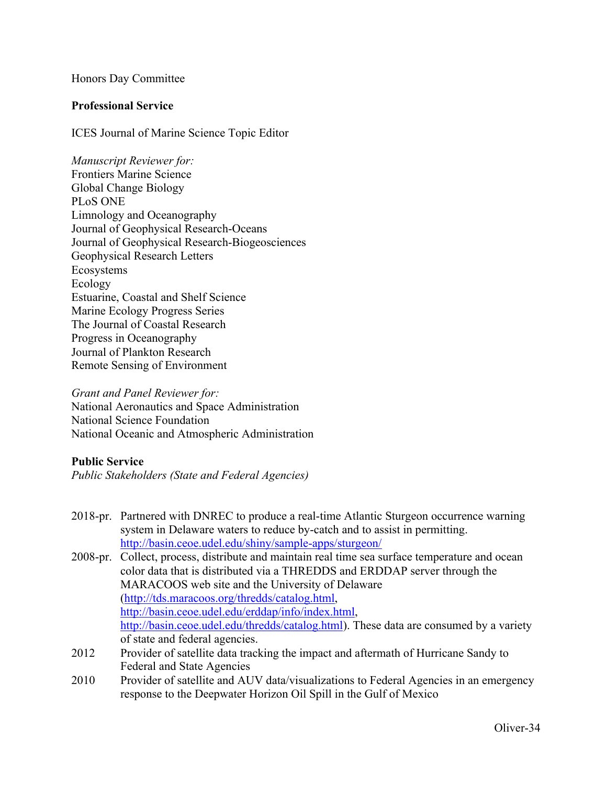#### Honors Day Committee

#### **Professional Service**

ICES Journal of Marine Science Topic Editor

*Manuscript Reviewer for:* Frontiers Marine Science Global Change Biology PLoS ONE Limnology and Oceanography Journal of Geophysical Research-Oceans Journal of Geophysical Research-Biogeosciences Geophysical Research Letters Ecosystems Ecology Estuarine, Coastal and Shelf Science Marine Ecology Progress Series The Journal of Coastal Research Progress in Oceanography Journal of Plankton Research Remote Sensing of Environment

*Grant and Panel Reviewer for:* National Aeronautics and Space Administration National Science Foundation National Oceanic and Atmospheric Administration

#### **Public Service**

*Public Stakeholders (State and Federal Agencies)*

- 2018-pr. Partnered with DNREC to produce a real-time Atlantic Sturgeon occurrence warning system in Delaware waters to reduce by-catch and to assist in permitting. http://basin.ceoe.udel.edu/shiny/sample-apps/sturgeon/
- 2008-pr. Collect, process, distribute and maintain real time sea surface temperature and ocean color data that is distributed via a THREDDS and ERDDAP server through the MARACOOS web site and the University of Delaware (http://tds.maracoos.org/thredds/catalog.html, http://basin.ceoe.udel.edu/erddap/info/index.html, http://basin.ceoe.udel.edu/thredds/catalog.html). These data are consumed by a variety of state and federal agencies.
- 2012 Provider of satellite data tracking the impact and aftermath of Hurricane Sandy to Federal and State Agencies
- 2010 Provider of satellite and AUV data/visualizations to Federal Agencies in an emergency response to the Deepwater Horizon Oil Spill in the Gulf of Mexico